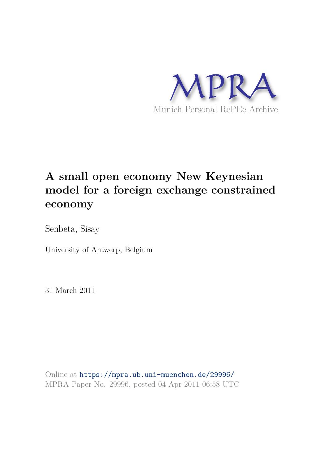

## **A small open economy New Keynesian model for a foreign exchange constrained economy**

Senbeta, Sisay

University of Antwerp, Belgium

31 March 2011

Online at https://mpra.ub.uni-muenchen.de/29996/ MPRA Paper No. 29996, posted 04 Apr 2011 06:58 UTC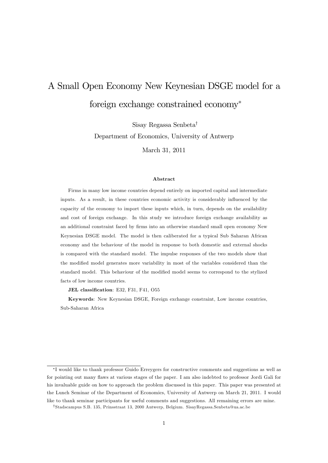# A Small Open Economy New Keynesian DSGE model for a foreign exchange constrained economy

Sisay Regassa Senbeta<sup>†</sup>

Department of Economics, University of Antwerp

March 31, 2011

#### Abstract

Firms in many low income countries depend entirely on imported capital and intermediate inputs. As a result, in these countries economic activity is considerably ináuenced by the capacity of the economy to import these inputs which, in turn, depends on the availability and cost of foreign exchange. In this study we introduce foreign exchange availability as an additional constraint faced by firms into an otherwise standard small open economy New Keynesian DSGE model. The model is then caliberated for a typical Sub Saharan African economy and the behaviour of the model in response to both domestic and external shocks is compared with the standard model. The impulse responses of the two models show that the modified model generates more variability in most of the variables considered than the standard model. This behaviour of the modified model seems to correspond to the stylized facts of low income countries.

JEL classification: E32, F31, F41, O55

Keywords: New Keynesian DSGE, Foreign exchange constraint, Low income countries, Sub-Saharan Africa

I would like to thank professor Guido Erreygers for constructive comments and suggestions as well as for pointing out many flaws at various stages of the paper. I am also indebted to professor Jordi Gali for his invaluable guide on how to approach the problem discussed in this paper. This paper was presented at the Lunch Seminar of the Department of Economics, University of Antwerp on March 21, 2011. I would like to thank seminar participants for useful comments and suggestions. All remaining errors are mine.

<sup>y</sup>Stadscampus S.B. 135, Prinsstraat 13, 2000 Antwerp, Belgium. SisayRegassa.Senbeta@ua.ac.be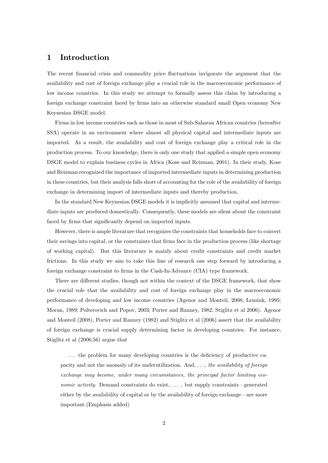## 1 Introduction

The recent financial crisis and commodity price fluctuations invigorate the argument that the availability and cost of foreign exchange play a crucial role in the macroeconomic performance of low income countries. In this study we attempt to formally assess this claim by introducing a foreign exchange constraint faced by Örms into an otherwise standard small Open economy New Keynesian DSGE model.

Firms in low income countries such as those in most of Sub-Saharan African countries (hereafter SSA) operate in an environment where almost all physical capital and intermediate inputs are imported. As a result, the availability and cost of foreign exchange play a critical role in the production process. To our knowledge, there is only one study that applied a simple open economy DSGE model to explain business cycles in Africa (Kose and Reizman, 2001). In their study, Kose and Reizman recognized the importance of imported intermediate inputs in determining production in these countries, but their analysis falls short of accounting for the role of the availability of foreign exchange in determining import of intermediate inputs and thereby production.

In the standard New Keynesian DSGE models it is implicitly assumed that capital and intermediate inputs are produced domestically. Consequently, these models are silent about the constraint faced by firms that significantly depend on imported inputs.

However, there is ample literature that recognizes the constraints that households face to convert their savings into capital, or the constraints that Örms face in the production process (like shortage of working capital). But this literature is mainly about credit constraints and credit market frictions. In this study we aim to take this line of research one step forward by introducing a foreign exchange constraint to firms in the Cash-In-Advance (CIA) type framework.

There are different studies, though not within the context of the DSGE framework, that show the crucial role that the availability and cost of foreign exchange play in the macroeconomic performance of developing and low income countries (Agenor and Monteil, 2008; Lensink, 1995; Moran, 1989; Polterovich and Popov, 2003; Porter and Ranney, 1982; Stiglitz et al 2006). Agenor and Monteil (2008), Porter and Ranney (1982) and Stiglitz et al (2006) assert that the availability of foreign exchange is crucial supply determining factor in developing countries. For instance, Stiglitz et al (2006:56) argue that

... the problem for many developing countries is the deficiency of productive capacity and not the anomaly of its underutilization. And,  $\dots$ , the availability of foreign exchange may become, under many circumstances, the principal factor limiting economic activity. Demand constraints do exist,  $\dots$ , but supply constraints—generated either by the availability of capital or by the availability of foreign exchange—are more important.(Emphasis added)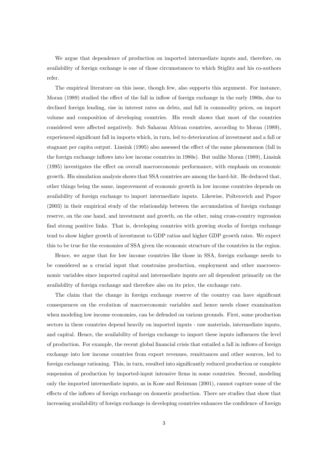We argue that dependence of production on imported intermediate inputs and, therefore, on availability of foreign exchange is one of those circumstances to which Stiglitz and his co-authors refer.

The empirical literature on this issue, though few, also supports this argument. For instance, Moran (1989) studied the effect of the fall in inflow of foreign exchange in the early 1980s, due to declined foreign lending, rise in interest rates on debts, and fall in commodity prices, on import volume and composition of developing countries. His result shows that most of the countries considered were affected negatively. Sub Saharan African countries, according to Moran (1989), experienced significant fall in imports which, in turn, led to deterioration of investment and a fall or stagnant per capita output. Linsink (1995) also assessed the effect of the same phenomenon (fall in the foreign exchange inflows into low income countries in 1980s). But unlike Moran (1989), Linsink  $(1995)$  investigates the effect on overall macroeconomic performance, with emphasis on economic growth. His simulation analysis shows that SSA countries are among the hard-hit. He deduced that, other things being the same, improvement of economic growth in low income countries depends on availability of foreign exchange to import intermediate inputs. Likewise, Polterovich and Popov (2003) in their empirical study of the relationship between the accumulation of foreign exchange reserve, on the one hand, and investment and growth, on the other, using cross-country regression find strong positive links. That is, developing countries with growing stocks of foreign exchange tend to show higher growth of investment to GDP ratios and higher GDP growth rates. We expect this to be true for the economies of SSA given the economic structure of the countries in the region.

Hence, we argue that for low income countries like those in SSA, foreign exchange needs to be considered as a crucial input that constrains production, employment and other macroeconomic variables since imported capital and intermediate inputs are all dependent primarily on the availability of foreign exchange and therefore also on its price, the exchange rate.

The claim that the change in foreign exchange reserve of the country can have significant consequences on the evolution of macroeconomic variables and hence needs closer examination when modeling low income economies, can be defended on various grounds. First, some production sectors in these countries depend heavily on imported inputs - raw materials, intermediate inputs, and capital. Hence, the availability of foreign exchange to import these inputs ináuences the level of production. For example, the recent global Önancial crisis that entailed a fall in ináows of foreign exchange into low income countries from export revenues, remittances and other sources, led to foreign exchange rationing. This, in turn, resulted into significantly reduced production or complete suspension of production by imported-input intensive firms in some countries. Second, modeling only the imported intermediate inputs, as in Kose and Reizman (2001), cannot capture some of the effects of the inflows of foreign exchange on domestic production. There are studies that show that increasing availability of foreign exchange in developing countries enhances the confidence of foreign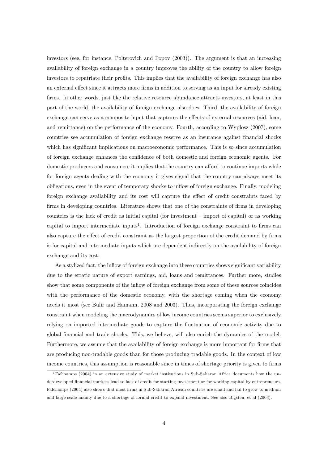investors (see, for instance, Polterovich and Popov (2003)). The argument is that an increasing availability of foreign exchange in a country improves the ability of the country to allow foreign investors to repatriate their profits. This implies that the availability of foreign exchange has also an external effect since it attracts more firms in addition to serving as an input for already existing firms. In other words, just like the relative resource abundance attracts investors, at least in this part of the world, the availability of foreign exchange also does. Third, the availability of foreign exchange can serve as a composite input that captures the effects of external resources (aid, loan, and remittance) on the performance of the economy. Fourth, according to Wyplosz (2007), some countries see accumulation of foreign exchange reserve as an insurance against financial shocks which has significant implications on macroeconomic performance. This is so since accumulation of foreign exchange enhances the confidence of both domestic and foreign economic agents. For domestic producers and consumers it implies that the country can afford to continue imports while for foreign agents dealing with the economy it gives signal that the country can always meet its obligations, even in the event of temporary shocks to ináow of foreign exchange. Finally, modeling foreign exchange availability and its cost will capture the effect of credit constraints faced by firms in developing countries. Literature shows that one of the constraints of firms in developing countries is the lack of credit as initial capital (for investment  $-$  import of capital) or as working capital to import intermediate inputs<sup>1</sup>. Introduction of foreign exchange constraint to firms can also capture the effect of credit constraint as the largest proportion of the credit demand by firms is for capital and intermediate inputs which are dependent indirectly on the availability of foreign exchange and its cost.

As a stylized fact, the inflow of foreign exchange into these countries shows significant variability due to the erratic nature of export earnings, aid, loans and remittances. Further more, studies show that some components of the inflow of foreign exchange from some of these sources coincides with the performance of the domestic economy, with the shortage coming when the economy needs it most (see Bulir and Hamann, 2008 and 2003). Thus, incorporating the foreign exchange constraint when modeling the macrodynamics of low income countries seems superior to exclusively relying on imported intermediate goods to capture the fluctuation of economic activity due to global Önancial and trade shocks. This, we believe, will also enrich the dynamics of the model. Furthermore, we assume that the availability of foreign exchange is more important for firms that are producing non-tradable goods than for those producing tradable goods. In the context of low income countries, this assumption is reasonable since in times of shortage priority is given to firms

<sup>1</sup>Fafchamps (2004) in an extensive study of market institutions in Sub-Saharan Africa documents how the underdeveloped Önancial markets lead to lack of credit for starting investment or for working capital by entrepreneurs. Fafchamps (2004) also shows that most firms in Sub-Saharan African countries are small and fail to grow to medium and large scale mainly due to a shortage of formal credit to expand investment. See also Bigsten, et al (2003).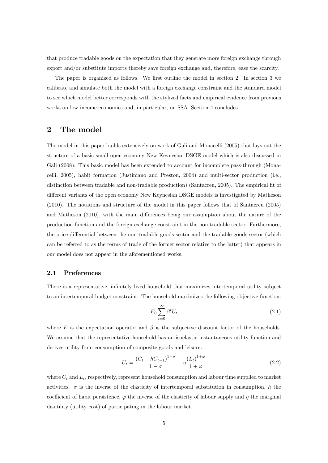that produce tradable goods on the expectation that they generate more foreign exchange through export and/or substitute imports thereby save foreign exchange and, therefore, ease the scarcity.

The paper is organized as follows. We first outline the model in section 2. In section 3 we calibrate and simulate both the model with a foreign exchange constraint and the standard model to see which model better corresponds with the stylized facts and empirical evidence from previous works on low-income economies and, in particular, on SSA. Section 4 concludes.

## 2 The model

The model in this paper builds extensively on work of Gali and Monacelli (2005) that lays out the structure of a basic small open economy New Keynesian DSGE model which is also discussed in Gali (2008). This basic model has been extended to account for incomplete pass-through (Monacelli, 2005), habit formation (Justiniano and Preston, 2004) and multi-sector production (i.e., distinction between tradable and non-tradable production) (Santacreu, 2005). The empirical fit of different variants of the open economy New Keynesian DSGE models is investigated by Matheson (2010). The notations and structure of the model in this paper follows that of Santacreu (2005) and Matheson  $(2010)$ , with the main differences being our assumption about the nature of the production function and the foreign exchange constraint in the non-tradable sector. Furthermore, the price differential between the non-tradable goods sector and the tradable goods sector (which can be referred to as the terms of trade of the former sector relative to the latter) that appears in our model does not appear in the aforementioned works.

#### 2.1 Preferences

There is a representative, infinitely lived household that maximizes intertemporal utility subject to an intertemporal budget constraint. The household maximizes the following objective function:

$$
E_0 \sum_{t=0}^{\infty} \beta^t U_t \tag{2.1}
$$

where  $E$  is the expectation operator and  $\beta$  is the subjective discount factor of the households. We assume that the representative household has an isoelastic instantaneous utility function and derives utility from consumption of composite goods and leisure:

$$
U_t = \frac{(C_t - hC_{t-1})^{1-\sigma}}{1-\sigma} - \eta \frac{(L_t)^{1+\varphi}}{1+\varphi}
$$
\n(2.2)

where  $C_t$  and  $L_t$ , respectively, represent household consumption and labour time supplied to market activities.  $\sigma$  is the inverse of the elasticity of intertemporal substitution in consumption, h the coefficient of habit persistence,  $\varphi$  the inverse of the elasticity of labour supply and  $\eta$  the marginal disutility (utility cost) of participating in the labour market.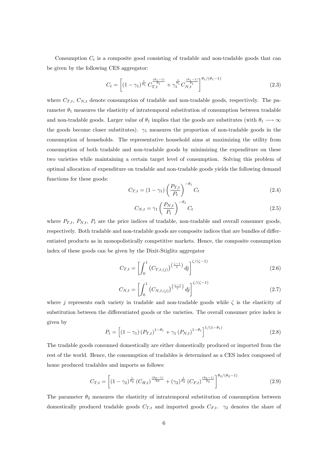Consumption  $C_t$  is a composite good consisting of tradable and non-tradable goods that can be given by the following CES aggregator:

$$
C_t = \left[ \left(1 - \gamma_1\right)^{\frac{1}{\theta_1}} C_{T,t}^{\frac{\left(\theta_1 - 1\right)}{\theta_1}} + \gamma_1^{\frac{1}{\theta_1}} C_{N,t}^{\frac{\left(\theta_1 - 1\right)}{\theta_1}} \right]^{\theta_1 / \left(\theta_1 - 1\right)} \tag{2.3}
$$

where  $C_{T,t}$ ,  $C_{N,t}$  denote consumption of tradable and non-tradable goods, respectively. The parameter  $\theta_1$  measures the elasticity of intratemporal substitution of consumption between tradable and non-tradable goods. Larger value of  $\theta_1$  implies that the goods are substitutes (with  $\theta_1 \longrightarrow \infty$ the goods become closer substitutes).  $\gamma_1$  measures the proportion of non-tradable goods in the consumption of households. The representative household aims at maximizing the utility from consumption of both tradable and non-tradable goods by minimizing the expenditure on these two varieties while maintaining a certain target level of consumption. Solving this problem of optimal allocation of expenditure on tradable and non-tradable goods yields the following demand functions for these goods:

$$
C_{T,t} = (1 - \gamma_1) \left(\frac{P_{T,t}}{P_t}\right)^{-\theta_1} C_t \tag{2.4}
$$

$$
C_{N,t} = \gamma_1 \left(\frac{P_{N,t}}{P_t}\right)^{-\theta_1} C_t \tag{2.5}
$$

where  $P_{T,t}$ ,  $P_{N,t}$ ,  $P_t$  are the price indices of tradable, non-tradable and overall consumer goods, respectively. Both tradable and non-tradable goods are composite indices that are bundles of differentiated products as in monopolistically competitive markets. Hence, the composite consumption index of these goods can be given by the Dixit-Stiglitz aggregator

$$
C_{T,t} = \left[ \int_0^1 \left( C_{T,t,(j)} \right)^{\left(\frac{\zeta - 1}{\zeta}\right)} dj \right]^{ \zeta/(\zeta - 1)} \tag{2.6}
$$

$$
C_{N,t} = \left[ \int_0^1 \left( C_{N,t,(j)} \right)^{\left( \frac{\zeta - 1}{\zeta} \right)} dj \right]^{\zeta/(\zeta - 1)}
$$
(2.7)

where j represents each variety in tradable and non-tradable goods while  $\zeta$  is the elasticity of substitution between the differentiated goods or the varieties. The overall consumer price index is given by

$$
P_{t} = \left[ \left( 1 - \gamma_{1} \right) \left( P_{T,t} \right)^{1 - \theta_{1}} + \gamma_{1} \left( P_{N,t} \right)^{1 - \theta_{1}} \right]^{1/(1 - \theta_{1})}
$$
\n(2.8)

The tradable goods consumed domestically are either domestically produced or imported from the rest of the world. Hence, the consumption of tradables is determined as a CES index composed of home produced tradables and imports as follows:

$$
C_{T,t} = \left[ \left(1 - \gamma_2\right)^{\frac{1}{\theta_2}} \left(C_{H,t}\right)^{\frac{\left(\theta_2 - 1\right)}{\theta_2}} + \left(\gamma_2\right)^{\frac{1}{\theta_2}} \left(C_{F,t}\right)^{\frac{\left(\theta_2 - 1\right)}{\theta_2}} \right]^{\theta_2 / \left(\theta_2 - 1\right)} \tag{2.9}
$$

The parameter  $\theta_2$  measures the elasticity of intratemporal substitution of consumption between domestically produced tradable goods  $C_{T,t}$  and imported goods  $C_{F,t}$ .  $\gamma_2$  denotes the share of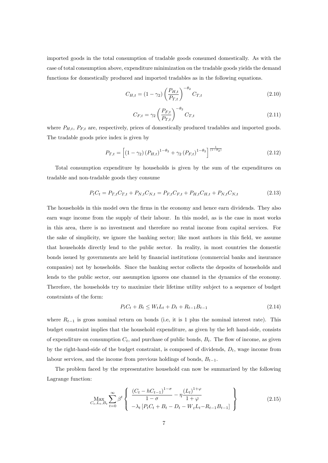imported goods in the total consumption of tradable goods consumed domestically. As with the case of total consumption above, expenditure minimization on the tradable goods yields the demand functions for domestically produced and imported tradables as in the following equations.

$$
C_{H,t} = (1 - \gamma_2) \left(\frac{P_{H,t}}{P_{T,t}}\right)^{-\theta_2} C_{T,t}
$$
\n(2.10)

$$
C_{F,t} = \gamma_2 \left(\frac{P_{F,t}}{P_{T,t}}\right)^{-\theta_2} C_{T,t}
$$
\n(2.11)

where  $P_{H,t}$ ,  $P_{F,t}$  are, respectively, prices of domestically produced tradables and imported goods. The tradable goods price index is given by

$$
P_{T,t} = \left[ \left( 1 - \gamma_2 \right) \left( P_{H,t} \right)^{1 - \theta_2} + \gamma_2 \left( P_{F,t} \right)^{1 - \theta_2} \right]^{\frac{1}{(1 - \theta_2)}} \tag{2.12}
$$

Total consumption expenditure by households is given by the sum of the expenditures on tradable and non-tradable goods they consume

$$
P_t C_t = P_{T,t} C_{T,t} + P_{N,t} C_{N,t} = P_{F,t} C_{F,t} + P_{H,t} C_{H,t} + P_{N,t} C_{N,t}
$$
\n(2.13)

The households in this model own the firms in the economy and hence earn dividends. They also earn wage income from the supply of their labour. In this model, as is the case in most works in this area, there is no investment and therefore no rental income from capital services. For the sake of simplicity, we ignore the banking sector; like most authors in this field, we assume that households directly lend to the public sector. In reality, in most countries the domestic bonds issued by governments are held by financial institutions (commercial banks and insurance companies) not by households. Since the banking sector collects the deposits of households and lends to the public sector, our assumption ignores one channel in the dynamics of the economy. Therefore, the households try to maximize their lifetime utility subject to a sequence of budget constraints of the form:

$$
P_t C_t + B_t \le W_t L_t + D_t + R_{t-1} B_{t-1}
$$
\n(2.14)

where  $R_{t-1}$  is gross nominal return on bonds (i.e, it is 1 plus the nominal interest rate). This budget constraint implies that the household expenditure, as given by the left hand-side, consists of expenditure on consumption  $C_t$ , and purchase of public bonds,  $B_t$ . The flow of income, as given by the right-hand-side of the budget constraint, is composed of dividends,  $D_t$ , wage income from labour services, and the income from previous holdings of bonds,  $B_{t-1}$ .

The problem faced by the representative household can now be summarized by the following Lagrange function:

$$
\max_{C_t, L_t, B_t} \sum_{t=0}^{\infty} \beta^t \left\{ \begin{array}{l} \frac{(C_t - hC_{t-1})^{1-\sigma}}{1-\sigma} - \eta \frac{(L_t)^{1+\varphi}}{1+\varphi} \\ -\lambda_t \left[ P_t C_t + B_t - D_t - W_t L_t - R_{t-1} B_{t-1} \right] \end{array} \right\}
$$
(2.15)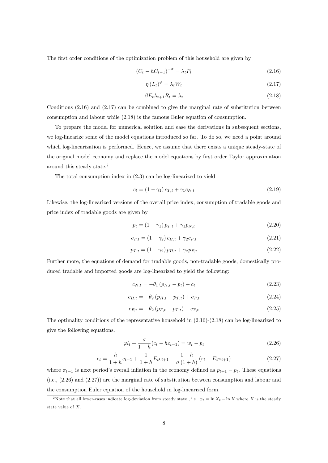The first order conditions of the optimization problem of this household are given by

$$
\left(C_t - hC_{t-1}\right)^{-\sigma} = \lambda_t P_t \tag{2.16}
$$

$$
\eta \left( L_t \right)^{\varphi} = \lambda_t W_t \tag{2.17}
$$

$$
\beta E_t \lambda_{t+1} R_t = \lambda_t \tag{2.18}
$$

Conditions  $(2.16)$  and  $(2.17)$  can be combined to give the marginal rate of substitution between consumption and labour while (2.18) is the famous Euler equation of consumption.

To prepare the model for numerical solution and ease the derivations in subsequent sections, we log-linearize some of the model equations introduced so far. To do so, we need a point around which log-linearization is performed. Hence, we assume that there exists a unique steady-state of the original model economy and replace the model equations by first order Taylor approximation around this steady-state.<sup>2</sup>

The total consumption index in (2.3) can be log-linearized to yield

$$
c_t = (1 - \gamma_1) c_{T,t} + \gamma_1 c_{N,t} \tag{2.19}
$$

Likewise, the log-linearized versions of the overall price index, consumption of tradable goods and price index of tradable goods are given by

$$
p_t = (1 - \gamma_1) p_{T,t} + \gamma_1 p_{N,t} \tag{2.20}
$$

$$
c_{T,t} = (1 - \gamma_2) c_{H,t} + \gamma_2 c_{F,t} \tag{2.21}
$$

$$
p_{T,t} = (1 - \gamma_2) p_{H,t} + \gamma_2 p_{F,t} \tag{2.22}
$$

Further more, the equations of demand for tradable goods, non-tradable goods, domestically produced tradable and imported goods are log-linearized to yield the following:

$$
c_{N,t} = -\theta_1 \left( p_{N,t} - p_t \right) + c_t \tag{2.23}
$$

$$
c_{H,t} = -\theta_2 \left( p_{H,t} - p_{T,t} \right) + c_{T,t} \tag{2.24}
$$

$$
c_{F,t} = -\theta_2 \left( p_{F,t} - p_{T,t} \right) + c_{T,t} \tag{2.25}
$$

The optimality conditions of the representative household in (2.16)-(2.18) can be log-linearized to give the following equations.

$$
\varphi l_t + \frac{\sigma}{1 - h}(c_t - h c_{t-1}) = w_t - p_t \tag{2.26}
$$

$$
c_{t} = \frac{h}{1+h}c_{t-1} + \frac{1}{1+h}E_{t}c_{t+1} - \frac{1-h}{\sigma(1+h)}(r_{t} - E_{t}\pi_{t+1})
$$
\n(2.27)

where  $\pi_{t+1}$  is next period's overall inflation in the economy defined as  $p_{t+1} - p_t$ . These equations (i.e., (2.26) and (2.27)) are the marginal rate of substitution between consumption and labour and the consumption Euler equation of the household in log-linearized form.

<sup>&</sup>lt;sup>2</sup>Note that all lower-cases indicate log-deviation from steady state , i.e.,  $x_t = \ln X_t - \ln \overline{X}$  where  $\overline{X}$  is the steady state value of X.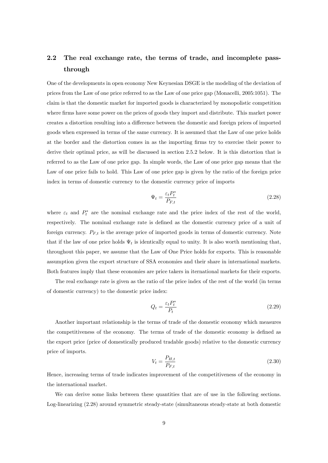## 2.2 The real exchange rate, the terms of trade, and incomplete passthrough

One of the developments in open economy New Keynesian DSGE is the modeling of the deviation of prices from the Law of one price referred to as the Law of one price gap (Monacelli, 2005:1051). The claim is that the domestic market for imported goods is characterized by monopolistic competition where firms have some power on the prices of goods they import and distribute. This market power creates a distortion resulting into a difference between the domestic and foreign prices of imported goods when expressed in terms of the same currency. It is assumed that the Law of one price holds at the border and the distortion comes in as the importing Örms try to exercise their power to derive their optimal price, as will be discussed in section 2.5.2 below. It is this distortion that is referred to as the Law of one price gap. In simple words, the Law of one price gap means that the Law of one price fails to hold. This Law of one price gap is given by the ratio of the foreign price index in terms of domestic currency to the domestic currency price of imports

$$
\Psi_t = \frac{\varepsilon_t P_t^*}{P_{F,t}}\tag{2.28}
$$

where  $\varepsilon_t$  and  $P_t^*$  are the nominal exchange rate and the price index of the rest of the world, respectively. The nominal exchange rate is defined as the domestic currency price of a unit of foreign currency.  $P_{F,t}$  is the average price of imported goods in terms of domestic currency. Note that if the law of one price holds  $\Psi_t$  is identically equal to unity. It is also worth mentioning that, throughout this paper, we assume that the Law of One Price holds for exports. This is reasonable assumption given the export structure of SSA economies and their share in international markets. Both features imply that these economies are price takers in iternational markets for their exports.

The real exchange rate is given as the ratio of the price index of the rest of the world (in terms of domestic currency) to the domestic price index:

$$
Q_t = \frac{\varepsilon_t P_t^*}{P_t} \tag{2.29}
$$

Another important relationship is the terms of trade of the domestic economy which measures the competitiveness of the economy. The terms of trade of the domestic economy is defined as the export price (price of domestically produced tradable goods) relative to the domestic currency price of imports.

$$
V_t = \frac{P_{H,t}}{P_{F,t}}\tag{2.30}
$$

Hence, increasing terms of trade indicates improvement of the competitiveness of the economy in the international market.

We can derive some links between these quantities that are of use in the following sections. Log-linearizing (2.28) around symmetric steady-state (simultaneous steady-state at both domestic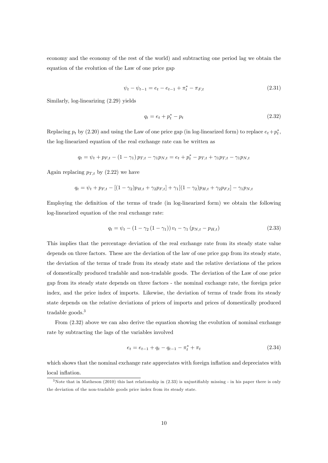economy and the economy of the rest of the world) and subtracting one period lag we obtain the equation of the evolution of the Law of one price gap

$$
\psi_t - \psi_{t-1} = e_t - e_{t-1} + \pi_t^* - \pi_{F,t}
$$
\n(2.31)

Similarly, log-linearizing (2.29) yields

$$
q_t = e_t + p_t^* - p_t \t\t(2.32)
$$

Replacing  $p_t$  by (2.20) and using the Law of one price gap (in log-linearized form) to replace  $e_t+p_t^*$ , the log-linearized equation of the real exchange rate can be written as

$$
q_t = \psi_t + p_{F,t} - (1 - \gamma_1) p_{T,t} - \gamma_1 p_{N,t} = e_t + p_t^* - p_{T,t} + \gamma_1 p_{T,t} - \gamma_1 p_{N,t}
$$

Again replacing  $p_{T,t}$  by (2.22) we have

$$
q_t = \psi_t + p_{F,t} - [(1 - \gamma_2)p_{H,t} + \gamma_2 p_{F,t}] + \gamma_1 [(1 - \gamma_2)p_{H,t} + \gamma_2 p_{F,t}] - \gamma_1 p_{N,t}
$$

Employing the definition of the terms of trade (in log-linearized form) we obtain the following log-linearized equation of the real exchange rate:

$$
q_t = \psi_t - (1 - \gamma_2 (1 - \gamma_1)) v_t - \gamma_1 (p_{N,t} - p_{H,t})
$$
\n(2.33)

This implies that the percentage deviation of the real exchange rate from its steady state value depends on three factors. These are the deviation of the law of one price gap from its steady state, the deviation of the terms of trade from its steady state and the relative deviations of the prices of domestically produced tradable and non-tradable goods. The deviation of the Law of one price gap from its steady state depends on three factors - the nominal exchange rate, the foreign price index, and the price index of imports. Likewise, the deviation of terms of trade from its steady state depends on the relative deviations of prices of imports and prices of domestically produced tradable goods.<sup>3</sup>

From  $(2.32)$  above we can also derive the equation showing the evolution of nominal exchange rate by subtracting the lags of the variables involved

$$
e_t = e_{t-1} + q_t - q_{t-1} - \pi_t^* + \pi_t \tag{2.34}
$$

which shows that the nominal exchange rate appreciates with foreign inflation and depreciates with local inflation.

 $3$ Note that in Matheson (2010) this last relationship in (2.33) is unjustifiably missing - in his paper there is only the deviation of the non-tradable goods price index from its steady state.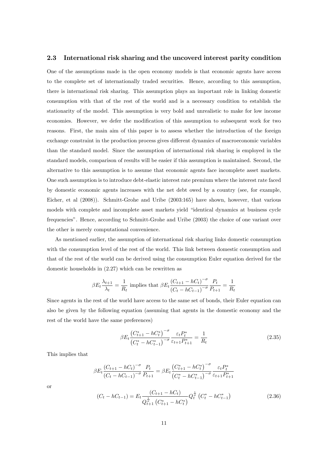#### 2.3 International risk sharing and the uncoverd interest parity condition

One of the assumptions made in the open economy models is that economic agents have access to the complete set of internationally traded securities. Hence, according to this assumption, there is international risk sharing. This assumption plays an important role in linking domestic consumption with that of the rest of the world and is a necessary condition to establish the stationarity of the model. This assumption is very bold and unrealistic to make for low income economies. However, we defer the modification of this assumption to subsequent work for two reasons. First, the main aim of this paper is to assess whether the introduction of the foreign exchange constraint in the production process gives different dynamics of macroeconomic variables than the standard model. Since the assumption of international risk sharing is employed in the standard models, comparison of results will be easier if this assumption is maintained. Second, the alternative to this assumption is to assume that economic agents face incomplete asset markets. One such assumption is to introduce debt-elastic interest rate premium where the interest rate faced by domestic economic agents increases with the net debt owed by a country (see, for example, Eicher, et al (2008)). Schmitt-Grohe and Uribe (2003:165) have shown, however, that various models with complete and incomplete asset markets yield "identical dynamics at business cycle frequenciesî. Hence, according to Schmitt-Grohe and Uribe (2003) the choice of one variant over the other is merely computational convenience.

As mentioned earlier, the assumption of international risk sharing links domestic consumption with the consumption level of the rest of the world. This link between domestic consumption and that of the rest of the world can be derived using the consumption Euler equation derived for the domestic households in (2.27) which can be rewritten as

$$
\beta E_t \frac{\lambda_{t+1}}{\lambda_t} = \frac{1}{R_t}
$$
 implies that 
$$
\beta E_t \frac{(C_{t+1} - hC_t)^{-\sigma}}{(C_t - hC_{t-1})^{-\sigma}} \frac{P_t}{P_{t+1}} = \frac{1}{R_t}
$$

Since agents in the rest of the world have access to the same set of bonds, their Euler equation can also be given by the following equation (assuming that agents in the domestic economy and the rest of the world have the same preferences)

$$
\beta E_t \frac{\left(C_{t+1}^* - hC_t^*\right)^{-\sigma}}{\left(C_t^* - hC_{t-1}^*\right)^{-\sigma}} \frac{\varepsilon_t P_t^*}{\varepsilon_{t+1} P_{t+1}^*} = \frac{1}{R_t} \tag{2.35}
$$

This implies that

$$
\beta E_t \frac{(C_{t+1} - hC_t)^{-\sigma}}{(C_t - hC_{t-1})^{-\sigma}} \frac{P_t}{P_{t+1}} = \beta E_t \frac{(C_{t+1}^* - hC_t^*)^{-\sigma}}{(C_t^* - hC_{t-1}^*)^{-\sigma}} \frac{\varepsilon_t P_t^*}{\varepsilon_{t+1} P_{t+1}^*}
$$

$$
(C_t - hC_{t-1}) = E_t \frac{(C_{t+1} - hC_t)}{P_{t+1}^* - P_{t-1}^*} Q_t^{\frac{1}{\sigma}} (C_t^* - hC_{t-1}^*)
$$
(2.36)

or

$$
t_{t-1} = E_t \frac{1}{Q_{t+1}^{\frac{1}{\sigma}} \left(C_{t+1}^* - hC_t^*\right)} Q_t^{\sigma} \left(C_t - hC_{t-1}\right)
$$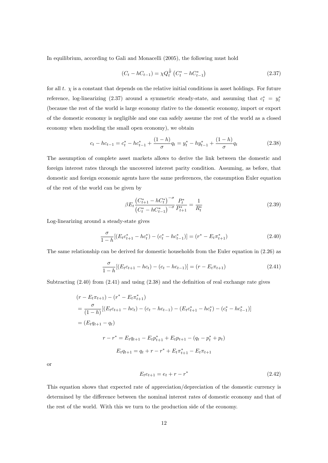In equilibrium, according to Gali and Monacelli (2005), the following must hold

$$
(C_t - hC_{t-1}) = \chi Q_t^{\frac{1}{\sigma}} \left( C_t^* - hC_{t-1}^* \right) \tag{2.37}
$$

for all t.  $\chi$  is a constant that depends on the relative initial conditions in asset holdings. For future reference, log-linearizing (2.37) around a symmetric steady-state, and assuming that  $c_t^* = y_t^*$ (because the rest of the world is large economy rlative to the domestic economy, import or export of the domestic economy is negligible and one can safely assume the rest of the world as a closed economy when modeling the small open economy), we obtain

$$
c_t - hc_{t-1} = c_t^* - hc_{t-1}^* + \frac{(1-h)}{\sigma}q_t = y_t^* - hy_{t-1}^* + \frac{(1-h)}{\sigma}q_t
$$
\n(2.38)

The assumption of complete asset markets allows to derive the link between the domestic and foreign interest rates through the uncovered interest parity condition. Assuming, as before, that domestic and foreign economic agents have the same preferences, the consumption Euler equation of the rest of the world can be given by

$$
\beta E_t \frac{\left(C_{t+1}^* - hC_t^*\right)^{-\sigma}}{\left(C_t^* - hC_{t-1}^*\right)^{-\sigma}} \frac{P_t^*}{P_{t+1}^*} = \frac{1}{R_t^*}
$$
\n(2.39)

Log-linearizing around a steady-state gives

$$
\frac{\sigma}{1-h}[(E_t c_{t+1}^* - h c_t^*) - (c_t^* - h c_{t-1}^*)] = (r^* - E_t \pi_{t+1}^*)
$$
\n(2.40)

The same relationship can be derived for domestic households from the Euler equation in (2.26) as

$$
\frac{\sigma}{1-h}[(E_t c_{t+1} - h c_t) - (c_t - h c_{t-1})] = (r - E_t \pi_{t+1})
$$
\n(2.41)

Subtracting  $(2.40)$  from  $(2.41)$  and using  $(2.38)$  and the definition of real exchange rate gives

$$
(r - E_t \pi_{t+1}) - (r^* - E_t \pi_{t+1}^*)
$$
  
=  $\frac{\sigma}{(1-h)} [(E_t c_{t+1} - h c_t) - (c_t - h c_{t-1}) - (E_t c_{t+1}^* - h c_t^*) - (c_t^* - h c_{t-1}^*)]$   
=  $(E_t q_{t+1} - q_t)$   
 $r - r^* = E_t q_{t+1} - E_t p_{t+1}^* + E_t p_{t+1} - (q_t - p_t^* + p_t)$   
 $E_t q_{t+1} = q_t + r - r^* + E_t \pi_{t+1}^* - E_t \pi_{t+1}$ 

or

$$
E_t e_{t+1} = e_t + r - r^*
$$
\n(2.42)

This equation shows that expected rate of appreciation/depreciation of the domestic currency is determined by the difference between the nominal interest rates of domestic economy and that of the rest of the world. With this we turn to the production side of the economy.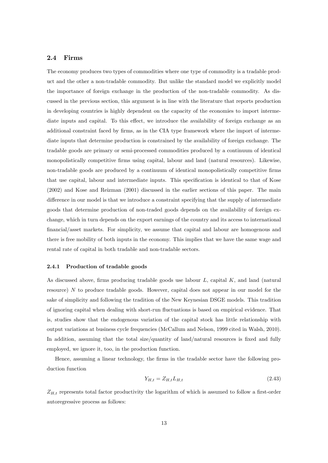#### 2.4 Firms

The economy produces two types of commodities where one type of commodity is a tradable product and the other a non-tradable commodity. But unlike the standard model we explicitly model the importance of foreign exchange in the production of the non-tradable commodity. As discussed in the previous section, this argument is in line with the literature that reports production in developing countries is highly dependent on the capacity of the economies to import intermediate inputs and capital. To this effect, we introduce the availability of foreign exchange as an additional constraint faced by firms, as in the CIA type framework where the import of intermediate inputs that determine production is constrained by the availability of foreign exchange. The tradable goods are primary or semi-processed commodities produced by a continuum of identical monopolistically competitive Örms using capital, labour and land (natural resources). Likewise, non-tradable goods are produced by a continuum of identical monopolistically competitive firms that use capital, labour and intermediate inputs. This specification is identical to that of Kose (2002) and Kose and Reizman (2001) discussed in the earlier sections of this paper. The main difference in our model is that we introduce a constraint specifying that the supply of intermediate goods that determine production of non-traded goods depends on the availability of foreign exchange, which in turn depends on the export earnings of the country and its access to international financial/asset markets. For simplicity, we assume that capital and labour are homogenous and there is free mobility of both inputs in the economy. This implies that we have the same wage and rental rate of capital in both tradable and non-tradable sectors.

#### 2.4.1 Production of tradable goods

As discussed above, firms producing tradable goods use labour  $L$ , capital  $K$ , and land (natural resource) N to produce tradable goods. However, capital does not appear in our model for the sake of simplicity and following the tradition of the New Keynesian DSGE models. This tradition of ignoring capital when dealing with short-run fluctuations is based on empirical evidence. That is, studies show that the endogenous variation of the capital stock has little relationship with output variations at business cycle frequencies (McCallum and Nelson, 1999 cited in Walsh, 2010). In addition, assuming that the total size/quantity of land/natural resources is fixed and fully employed, we ignore it, too, in the production function.

Hence, assuming a linear technology, the firms in the tradable sector have the following production function

$$
Y_{H,t} = Z_{H,t} L_{H,t} \tag{2.43}
$$

 $Z_{H,t}$  represents total factor productivity the logarithm of which is assumed to follow a first-order autoregressive process as follows: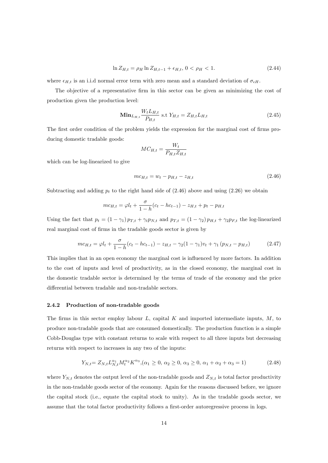$$
\ln Z_{H,t} = \rho_H \ln Z_{H,t-1} + \epsilon_{H,t}, \ 0 < \rho_H < 1. \tag{2.44}
$$

where  $\epsilon_{H,t}$  is an i.i.d normal error term with zero mean and a standard deviation of  $\sigma_{\epsilon H}$ .

The objective of a representative firm in this sector can be given as minimizing the cost of production given the production level:

$$
\mathbf{Min}_{L_{H,t}} \frac{W_t L_{H,t}}{P_{H,t}} \text{ s.t } Y_{H,t} = Z_{H,t} L_{H,t} \tag{2.45}
$$

The first order condition of the problem yields the expression for the marginal cost of firms producing domestic tradable goods:

$$
MC_{H,t} = \frac{W_t}{P_{H,t} Z_{H,t}}
$$

which can be log-linearized to give

$$
mc_{H,t} = w_t - p_{H,t} - z_{H,t}
$$
\n(2.46)

Subtracting and adding  $p_t$  to the right hand side of  $(2.46)$  above and using  $(2.26)$  we obtain

$$
mc_{H,t} = \varphi l_t + \frac{\sigma}{1-h}(c_t - hc_{t-1}) - z_{H,t} + p_t - p_{H,t}
$$

Using the fact that  $p_t = (1 - \gamma_1) p_{T,t} + \gamma_t p_{N,t}$  and  $p_{T,t} = (1 - \gamma_2) p_{H,t} + \gamma_2 p_{F,t}$  the log-linearized real marginal cost of firms in the tradable goods sector is given by

$$
mc_{H,t} = \varphi l_t + \frac{\sigma}{1-h}(c_t - hc_{t-1}) - z_{H,t} - \gamma_2(1-\gamma_1)v_t + \gamma_1(p_{N,t} - p_{H,t})
$$
(2.47)

This implies that in an open economy the marginal cost is influenced by more factors. In addition to the cost of inputs and level of productivity, as in the closed economy, the marginal cost in the domestic tradable sector is determined by the terms of trade of the economy and the price differential between tradable and non-tradable sectors.

#### 2.4.2 Production of non-tradable goods

The firms in this sector employ labour  $L$ , capital  $K$  and imported intermediate inputs,  $M$ , to produce non-tradable goods that are consumed domestically. The production function is a simple Cobb-Douglas type with constant returns to scale with respect to all three inputs but decreasing returns with respect to increases in any two of the inputs:

$$
Y_{N,t} = Z_{N,t} L_{N,t}^{\alpha_1} M_t^{\alpha_2} K^{\alpha_3}, \quad (\alpha_1 \ge 0, \alpha_2 \ge 0, \alpha_3 \ge 0, \alpha_1 + \alpha_2 + \alpha_3 = 1)
$$
\n(2.48)

where  $Y_{N,t}$  denotes the output level of the non-tradable goods and  $Z_{N,t}$  is total factor productivity in the non-tradable goods sector of the economy. Again for the reasons discussed before, we ignore the capital stock (i.e., equate the capital stock to unity). As in the tradable goods sector, we assume that the total factor productivity follows a first-order autoregressive process in logs.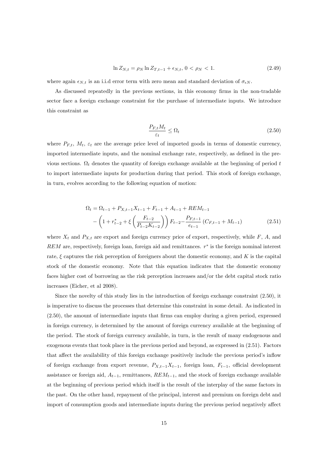$$
\ln Z_{N,t} = \rho_N \ln Z_{T,t-1} + \epsilon_{N,t}, \ 0 < \rho_N < 1. \tag{2.49}
$$

where again  $\epsilon_{N,t}$  is an i.i.d error term with zero mean and standard deviation of  $\sigma_{\epsilon N}$ .

As discussed repeatedly in the previous sections, in this economy firms in the non-tradable sector face a foreign exchange constraint for the purchase of intermediate inputs. We introduce this constraint as

$$
\frac{P_{F,t}M_t}{\varepsilon_t} \le \Omega_t \tag{2.50}
$$

where  $P_{F,t}$ ,  $M_t$ ,  $\varepsilon_t$  are the average price level of imported goods in terms of domestic currency, imported intermediate inputs, and the nominal exchange rate, respectively, as defined in the previous sections.  $\Omega_t$  denotes the quantity of foreign exchange available at the beginning of period t to import intermediate inputs for production during that period. This stock of foreign exchange, in turn, evolves according to the following equation of motion:

$$
\Omega_t = \Omega_{t-1} + P_{X,t-1}X_{t-1} + F_{t-1} + A_{t-1} + REM_{t-1}
$$

$$
-\left(1 + r_{t-2}^* + \xi\left(\frac{F_{t-2}}{P_{t-2}K_{t-2}}\right)\right)F_{t-2} - \frac{P_{F,t-1}}{e_{t-1}}\left(C_{F,t-1} + M_{t-1}\right) \tag{2.51}
$$

where  $X_t$  and  $P_{X,t}$  are export and foreign currency price of export, respectively, while  $F$ ,  $A$ , and  $REM$  are, respectively, foreign loan, foreign aid and remittances.  $r^*$  is the foreign nominal interest rate,  $\xi$  captures the risk perception of foreigners about the domestic economy, and  $K$  is the capital stock of the domestic economy. Note that this equation indicates that the domestic economy faces higher cost of borrowing as the risk perception increases and/or the debt capital stock ratio increases (Eicher, et al 2008).

Since the novelty of this study lies in the introduction of foreign exchange constraint (2.50), it is imperative to discuss the processes that determine this constraint in some detail. As indicated in (2.50), the amount of intermediate inputs that Örms can employ during a given period, expressed in foreign currency, is determined by the amount of foreign currency available at the beginning of the period. The stock of foreign currency available, in turn, is the result of many endogenous and exogenous events that took place in the previous period and beyond, as expressed in (2.51). Factors that affect the availability of this foreign exchange positively include the previous period's inflow of foreign exchange from export revenue,  $P_{X,t-1}X_{t-1}$ , foreign loan,  $F_{t-1}$ , official development assistance or foreign aid,  $A_{t-1}$ , remittances,  $REM_{t-1}$ , and the stock of foreign exchange available at the beginning of previous period which itself is the result of the interplay of the same factors in the past. On the other hand, repayment of the principal, interest and premium on foreign debt and import of consumption goods and intermediate inputs during the previous period negatively affect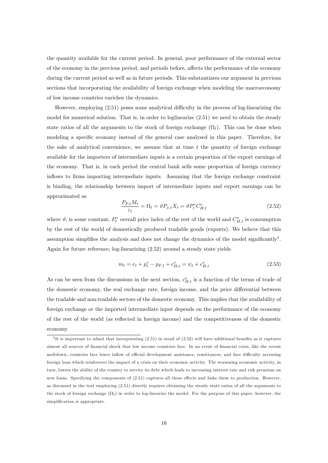the quantity available for the current period. In general, poor performance of the external sector of the economy in the previous period, and periods before, affects the performance of the economy during the current period as well as in future periods. This substantiates our argument in previous sections that incorporating the availability of foreign exchange when modeling the macroeconomy of low income countries enriches the dynamics.

However, employing  $(2.51)$  poses some analytical difficulty in the process of log-linearizing the model for numerical solution. That is, in order to loglinearize (2.51) we need to obtain the steady state ratios of all the arguments to the stock of foreign exchange  $(\Omega_t)$ . This can be done when modeling a specific economy instead of the general case analysed in this paper. Therefore, for the sake of analytical convenience, we assume that at time  $t$  the quantity of foreign exchange available for the importers of intermediate inputs is a certain proportion of the export earnings of the economy. That is, in each period the central bank sells some proportion of foreign currency inflows to firms importing intermediate inputs. Assuming that the foreign exchange constraint is binding, the relationship between import of intermediate inputs and export earnings can be approximated as

$$
\frac{P_{F,t}M_t}{\varepsilon_t} = \Omega_t = \vartheta P_{x,t} X_t = \vartheta P_t^* C_{H,t}^* \tag{2.52}
$$

where  $\vartheta$ , is some constant,  $P_t^*$  overall price index of the rest of the world and  $C_{H,t}^*$  is consumption by the rest of the world of domestically produced tradable goods (exports). We believe that this assumption simplifies the analysis and does not change the dynamics of the model significantly<sup>4</sup>. Again for future reference, log-linearizing (2.52) around a steady state yields

$$
m_t = e_t + p_t^* - p_{F,t} + c_{H,t}^* = \psi_t + c_{H,t}^* \tag{2.53}
$$

As can be seen from the discussions in the next section,  $c_{H,t}^*$  is a function of the terms of trade of the domestic economy, the real exchange rate, foreign income, and the price differential between the tradable and non-tradable sectors of the domestic economy. This implies that the availability of foreign exchange or the imported intermediate input depends on the performance of the economy of the rest of the world (as reflected in foreign income) and the competitiveness of the domestic economy.

 $^{4}$ It is important to admit that incorporating  $(2.51)$  in stead of  $(2.52)$  will have additional benefits as it captures almost all sources of financial shock that low income countries face. In an event of financial crisis, like the recent meltdown, countries face lower inflow of official development assistance, remittances, and face difficulty accessing foreign loan which reinforeces the impact of a crisis on their economic activity. The worsening economic activity, in turn, lowers the ability of the country to service its debt which leads to increasing interest rate and risk premium on new loans. Specifying the components of  $(2.51)$  captures all these effects and links them to production. However, as discussed in the text employing (2.51) directly requires obtaining the steady state ratios of all the arguments to the stock of foreign exchange  $(\Omega_t)$  in order to log-linearize the model. For the purpose of this paper, however, the simplification is appropriate.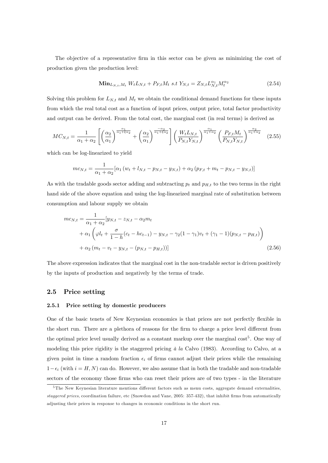The objective of a representative firm in this sector can be given as minimizing the cost of production given the production level:

$$
\mathbf{Min}_{L_{N,t},M_t} W_t L_{N,t} + P_{F,t} M_t \text{ s.t } Y_{N,t} = Z_{N,t} L_{N,t}^{\alpha_1} M_t^{\alpha_2} \tag{2.54}
$$

Solving this problem for  $L_{N,t}$  and  $M_t$  we obtain the conditional demand functions for these inputs from which the real total cost as a function of input prices, output price, total factor productivity and output can be derived. From the total cost, the marginal cost (in real terms) is derived as

$$
MC_{N,t} = \frac{1}{\alpha_1 + \alpha_2} \left[ \left( \frac{\alpha_2}{\alpha_1} \right)^{\frac{\alpha_1}{\alpha_1 + \xi \alpha_2}} + \left( \frac{\alpha_2}{\alpha_1} \right)^{\frac{-\alpha_2}{\alpha_1 + \xi \alpha_2}} \right] \left( \frac{W_t L_{N,t}}{P_{N,t} Y_{N,t}} \right)^{\frac{\alpha_1}{\alpha_1 + \alpha_2}} \left( \frac{P_{F,t} M_t}{P_{N,t} Y_{N,t}} \right)^{\frac{\alpha_2}{\alpha_1 + \alpha_2}} \tag{2.55}
$$

which can be log-linearized to yield

$$
mc_{N,t} = \frac{1}{\alpha_1 + \alpha_2} [\alpha_1 (w_t + l_{N,t} - p_{N,t} - y_{N,t}) + \alpha_2 (p_{F,t} + m_t - p_{N,t} - y_{N,t})]
$$

As with the tradable goods sector adding and subtracting  $p_t$  and  $p_{H,t}$  to the two terms in the right hand side of the above equation and using the log-linearized marginal rate of substitution between consumption and labour supply we obtain

$$
mc_{N,t} = \frac{1}{\alpha_1 + \alpha_2} [y_{N,t} - z_{N,t} - \alpha_2 m_t + \alpha_1 \left( \varphi l_t + \frac{\sigma}{1 - h} (c_t - h c_{t-1}) - y_{N,t} - \gamma_2 (1 - \gamma_1) v_t + (\gamma_1 - 1) (p_{N,t} - p_{H,t}) \right) + \alpha_2 (m_t - v_t - y_{N,t} - (p_{N,t} - p_{H,t}))]
$$
(2.56)

The above expression indicates that the marginal cost in the non-tradable sector is driven positively by the inputs of production and negatively by the terms of trade.

#### 2.5 Price setting

#### 2.5.1 Price setting by domestic producers

One of the basic tenets of New Keynesian economics is that prices are not perfectly flexible in the short run. There are a plethora of reasons for the firm to charge a price level different from the optimal price level usually derived as a constant markup over the marginal cost<sup>5</sup>. One way of modeling this price rigidity is the staggered pricing  $\dot{a}$  la Calvo (1983). According to Calvo, at a given point in time a random fraction  $\epsilon_i$  of firms cannot adjust their prices while the remaining  $1-\epsilon_i$  (with  $i = H, N$ ) can do. However, we also assume that in both the tradable and non-tradable sectors of the economy those firms who can reset their prices are of two types - in the literature

<sup>&</sup>lt;sup>5</sup>The New Keynesian literature mentions different factors such as menu costs, aggregate demand externalities, staggered prices, coordination failure, etc (Snowdon and Vane, 2005: 357-432), that inhibit firms from automatically adjusting their prices in response to changes in economic conditions in the short run.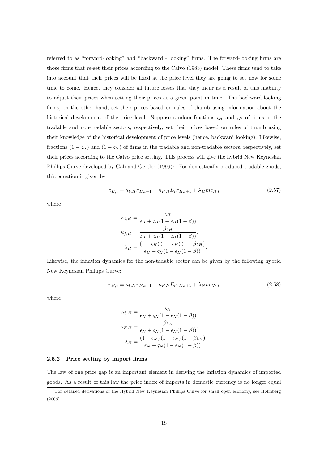referred to as "forward-looking" and "backward - looking" firms. The forward-looking firms are those firms that re-set their prices according to the Calvo (1983) model. These firms tend to take into account that their prices will be fixed at the price level they are going to set now for some time to come. Hence, they consider all future losses that they incur as a result of this inability to adjust their prices when setting their prices at a given point in time. The backward-looking firms, on the other hand, set their prices based on rules of thumb using information about the historical development of the price level. Suppose random fractions  $\varsigma_H$  and  $\varsigma_N$  of firms in the tradable and non-tradable sectors, respectively, set their prices based on rules of thumb using their knowledge of the historical development of price levels (hence, backward looking). Likewise, fractions  $(1 - \varsigma_H)$  and  $(1 - \varsigma_N)$  of firms in the tradable and non-tradable sectors, respectively, set their prices according to the Calvo price setting. This process will give the hybrid New Keynesian Phillips Curve developed by Gali and Gertler  $(1999)^6$ . For domestically produced tradable goods, this equation is given by

$$
\pi_{H,t} = \kappa_{b,H} \pi_{H,t-1} + \kappa_{F,H} E_t \pi_{H,t+1} + \lambda_H m c_{H,t} \tag{2.57}
$$

where

$$
\kappa_{b,H} = \frac{S_H}{\epsilon_H + S_H(1 - \epsilon_H(1 - \beta))},
$$

$$
\kappa_{f,H} = \frac{\beta \epsilon_H}{\epsilon_H + S_H(1 - \epsilon_H(1 - \beta))},
$$

$$
\lambda_H = \frac{(1 - S_H)(1 - \epsilon_H)(1 - \beta \epsilon_H)}{\epsilon_H + S_H(1 - \epsilon_H(1 - \beta))}.
$$

Likewise, the inflation dynamics for the non-tadable sector can be given by the following hybrid New Keynesian Phillips Curve:

$$
\pi_{N,t} = \kappa_{b,N} \pi_{N,t-1} + \kappa_{F,N} E_t \pi_{N,t+1} + \lambda_N m c_{N,t}
$$
\n(2.58)

where

$$
\kappa_{b,N} = \frac{\varsigma_N}{\epsilon_N + \varsigma_N (1 - \epsilon_N (1 - \beta))},
$$

$$
\kappa_{F,N} = \frac{\beta \epsilon_N}{\epsilon_N + \varsigma_N (1 - \epsilon_N (1 - \beta))},
$$

$$
\lambda_N = \frac{(1 - \varsigma_N) (1 - \epsilon_N) (1 - \beta \epsilon_N)}{\epsilon_N + \varsigma_N (1 - \epsilon_N (1 - \beta))}.
$$

#### 2.5.2 Price setting by import firms

The law of one price gap is an important element in deriving the inflation dynamics of imported goods. As a result of this law the price index of imports in domestic currency is no longer equal

 $6$  For detailed derivations of the Hybrid New Keynesian Phillips Curve for small open economy, see Holmberg (2006).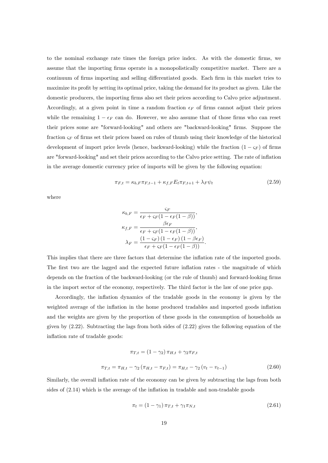to the nominal exchange rate times the foreign price index. As with the domestic Örms, we assume that the importing Örms operate in a monopolistically competitive market. There are a continuum of firms importing and selling differentiated goods. Each firm in this market tries to maximize its profit by setting its optimal price, taking the demand for its product as given. Like the domestic producers, the importing firms also set their prices according to Calvo price adjustment. Accordingly, at a given point in time a random fraction  $\epsilon_F$  of firms cannot adjust their prices while the remaining  $1 - \epsilon_F$  can do. However, we also assume that of those firms who can reset their prices some are "forward-looking" and others are "backward-looking" firms. Suppose the fraction  $\varsigma_F$  of firms set their prices based on rules of thumb using their knowledge of the historical development of import price levels (hence, backward-looking) while the fraction  $(1 - \varsigma_F)$  of firms are "forward-looking" and set their prices according to the Calvo price setting. The rate of inflation in the average domestic currency price of imports will be given by the following equation:

$$
\pi_{F,t} = \kappa_{b,F} \pi_{F,t-1} + \kappa_{f,F} E_t \pi_{F,t+1} + \lambda_F \psi_t \tag{2.59}
$$

where

$$
\kappa_{b,F} = \frac{\varsigma_F}{\epsilon_F + \varsigma_F (1 - \epsilon_F (1 - \beta))},
$$

$$
\kappa_{f,F} = \frac{\beta \epsilon_F}{\epsilon_F + \varsigma_F (1 - \epsilon_F (1 - \beta))},
$$

$$
\lambda_F = \frac{(1 - \varsigma_F) (1 - \epsilon_F) (1 - \beta \epsilon_F)}{\epsilon_F + \varsigma_F (1 - \epsilon_F (1 - \beta))}.
$$

This implies that there are three factors that determine the inflation rate of the imported goods. The first two are the lagged and the expected future inflation rates - the magnitude of which depends on the fraction of the backward-looking (or the rule of thumb) and forward-looking firms in the import sector of the economy, respectively. The third factor is the law of one price gap.

Accordingly, the inflation dynamics of the tradable goods in the economy is given by the weighted average of the inflation in the home produced tradables and imported goods inflation and the weights are given by the proportion of these goods in the consumption of households as given by  $(2.22)$ . Subtracting the lags from both sides of  $(2.22)$  gives the following equation of the inflation rate of tradable goods:

$$
\pi_{T,t} = (1 - \gamma_2) \pi_{H,t} + \gamma_2 \pi_{F,t}
$$

$$
\pi_{T,t} = \pi_{H,t} - \gamma_2 (\pi_{H,t} - \pi_{F,t}) = \pi_{H,t} - \gamma_2 (v_t - v_{t-1})
$$
(2.60)

Similarly, the overall inflation rate of the economy can be given by subtracting the lags from both sides of  $(2.14)$  which is the average of the inflation in tradable and non-tradable goods

$$
\pi_t = (1 - \gamma_1) \pi_{T,t} + \gamma_1 \pi_{N,t} \tag{2.61}
$$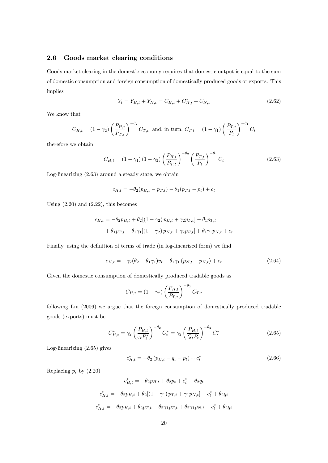#### 2.6 Goods market clearing conditions

Goods market clearing in the domestic economy requires that domestic output is equal to the sum of domestic consumption and foreign consumption of domestically produced goods or exports. This implies

$$
Y_t = Y_{H,t} + Y_{N,t} = C_{H,t} + C_{H,t}^* + C_{N,t}
$$
\n(2.62)

We know that

$$
C_{H,t} = (1 - \gamma_2) \left(\frac{P_{H,t}}{P_{T,t}}\right)^{-\theta_2} C_{T,t} \text{ and, in turn, } C_{T,t} = (1 - \gamma_1) \left(\frac{P_{T,t}}{P_t}\right)^{-\theta_1} C_t
$$

therefore we obtain

$$
C_{H,t} = (1 - \gamma_1)(1 - \gamma_2) \left(\frac{P_{H,t}}{P_{T,t}}\right)^{-\theta_2} \left(\frac{P_{T,t}}{P_t}\right)^{-\theta_1} C_t
$$
 (2.63)

Log-linearizing (2.63) around a steady state, we obtain

$$
c_{H,t} = -\theta_2(p_{H,t} - p_{T,t}) - \theta_1(p_{T,t} - p_t) + c_t
$$

Using  $(2.20)$  and  $(2.22)$ , this becomes

$$
c_{H,t} = -\theta_2 p_{H,t} + \theta_2 [(1 - \gamma_2) p_{H,t} + \gamma_2 p_{F,t}] - \theta_1 p_{T,t}
$$
  
+  $\theta_1 p_{T,t} - \theta_1 \gamma_1 [(1 - \gamma_2) p_{H,t} + \gamma_2 p_{F,t}] + \theta_1 \gamma_1 p_{N,t} + c_t$ 

Finally, using the definition of terms of trade (in log-linearized form) we find

$$
c_{H,t} = -\gamma_2(\theta_2 - \theta_1 \gamma_1)v_t + \theta_1 \gamma_1 (p_{N,t} - p_{H,t}) + c_t
$$
\n(2.64)

Given the domestic consumption of domestically produced tradable goods as

$$
C_{H,t} = (1 - \gamma_2) \left(\frac{P_{H,t}}{P_{T,t}}\right)^{-\theta_2} C_{T,t}
$$

following Liu (2006) we argue that the foreign consumption of domestically produced tradable goods (exports) must be

$$
C_{H,t}^{*} = \gamma_2 \left(\frac{P_{H,t}}{\varepsilon_t P_t^{*}}\right)^{-\theta_2} C_t^{*} = \gamma_2 \left(\frac{P_{H,t}}{Q_t P_t}\right)^{-\theta_2} C_t^{*}
$$
\n(2.65)

Log-linearizing (2.65) gives

$$
c_{H,t}^* = -\theta_2 \left( p_{H,t} - q_t - p_t \right) + c_t^* \tag{2.66}
$$

Replacing  $p_t$  by  $(2.20)$ 

$$
c_{H,t}^* = -\theta_2 p_{H,t} + \theta_2 p_t + c_t^* + \theta_2 q_t
$$
  

$$
c_{H,t}^* = -\theta_2 p_{H,t} + \theta_2 [(1 - \gamma_1) p_{T,t} + \gamma_1 p_{N,t}] + c_t^* + \theta_2 q_t
$$
  

$$
c_{H,t}^* = -\theta_2 p_{H,t} + \theta_2 p_{T,t} - \theta_2 \gamma_1 p_{T,t} + \theta_2 \gamma_1 p_{N,t} + c_t^* + \theta_2 q_t
$$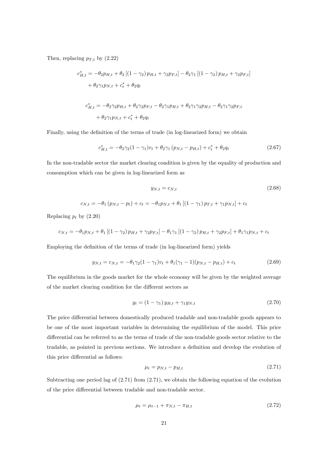Then, replacing  $p_{T,t}$  by  $(2.22)$ 

$$
c_{H,t}^{*} = -\theta_{2}p_{H,t} + \theta_{2} \left[ (1 - \gamma_{2}) p_{H,t} + \gamma_{2} p_{F,t} \right] - \theta_{2} \gamma_{1} \left[ (1 - \gamma_{2}) p_{H,t} + \gamma_{2} p_{F,t} \right] + \theta_{2} \gamma_{1} p_{N,t} + c_{t}^{*} + \theta_{2} q_{t} c_{H,t}^{*} = -\theta_{2} \gamma_{2} p_{H,t} + \theta_{2} \gamma_{2} p_{F,t} - \theta_{2} \gamma_{1} p_{H,t} + \theta_{2} \gamma_{1} \gamma_{2} p_{H,t} - \theta_{2} \gamma_{1} \gamma_{2} p_{F,t} + \theta_{2} \gamma_{1} p_{N,t} + c_{t}^{*} + \theta_{2} q_{t}
$$

Finally, using the definition of the terms of trade (in log-linearized form) we obtain

$$
c_{H,t}^* = -\theta_2 \gamma_2 (1 - \gamma_1) v_t + \theta_2 \gamma_1 (p_{N,t} - p_{H,t}) + c_t^* + \theta_2 q_t \tag{2.67}
$$

In the non-tradable sector the market clearing condition is given by the equality of production and consumption which can be given in log-linearized form as

$$
y_{N,t} = c_{N,t}
$$
\n
$$
c_{N,t} = -\theta_1 \left( p_{N,t} - p_t \right) + c_t = -\theta_1 p_{N,t} + \theta_1 \left[ \left( 1 - \gamma_1 \right) p_{T,t} + \gamma_1 p_{N,t} \right] + c_t
$$
\n
$$
(2.68)
$$

Replacing  $p_t$  by  $(2.20)$ 

$$
c_{N,t} = -\theta_1 p_{N,t} + \theta_1 \left[ (1 - \gamma_2) p_{H,t} + \gamma_2 p_{F,t} \right] - \theta_1 \gamma_1 \left[ (1 - \gamma_2) p_{H,t} + \gamma_2 p_{F,t} \right] + \theta_1 \gamma_1 p_{N,t} + c_t
$$

Employing the definition of the terms of trade (in log-linearized form) yields

$$
y_{N,t} = c_{N,t} = -\theta_1 \gamma_2 (1 - \gamma_1) v_t + \theta_1 (\gamma_1 - 1) (p_{N,t} - p_{H,t}) + c_t
$$
\n(2.69)

The equilibrium in the goods market for the whole economy will be given by the weighted average of the market clearing condition for the different sectors as

$$
y_t = (1 - \gamma_1) y_{H,t} + \gamma_1 y_{N,t} \tag{2.70}
$$

The price differential between domestically produced tradable and non-tradable goods appears to be one of the most important variables in determining the equilibrium of the model. This price differential can be referred to as the terms of trade of the non-tradable goods sector relative to the tradable, as pointed in previous sections. We introduce a definition and develop the evolution of this price differential as follows:

$$
\mu_t = p_{N,t} - p_{H,t} \tag{2.71}
$$

Subtracting one period lag of  $(2.71)$  from  $(2.71)$ , we obtain the following equation of the evolution of the price differential between tradable and non-tradable sector.

$$
\mu_t = \mu_{t-1} + \pi_{N,t} - \pi_{H,t} \tag{2.72}
$$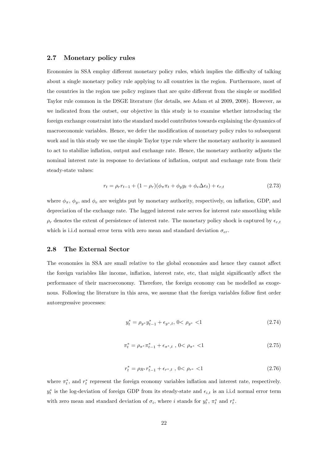#### 2.7 Monetary policy rules

Economies in SSA employ different monetary policy rules, which implies the difficulty of talking about a single monetary policy rule applying to all countries in the region. Furthermore, most of the countries in the region use policy regimes that are quite different from the simple or modified Taylor rule common in the DSGE literature (for details, see Adam et al 2009, 2008). However, as we indicated from the outset, our objective in this study is to examine whether introducing the foreign exchange constraint into the standard model contributes towards explaining the dynamics of macroeconomic variables. Hence, we defer the modification of monetary policy rules to subsequent work and in this study we use the simple Taylor type rule where the monetary authority is assumed to act to stabilize inflation, output and exchange rate. Hence, the monetary authority adjusts the nominal interest rate in response to deviations of inflation, output and exchange rate from their steady-state values:

$$
r_t = \rho_r r_{t-1} + (1 - \rho_r)(\phi_\pi \pi_t + \phi_y y_t + \phi_e \Delta e_t) + \epsilon_{r,t} \tag{2.73}
$$

where  $\phi_{\pi}$ ,  $\phi_{y}$ , and  $\phi_{e}$  are weights put by monetary authority, respectively, on inflation, GDP, and depreciation of the exchange rate. The lagged interest rate serves for interest rate smoothing while  $\rho_r$  denotes the extent of persistence of interest rate. The monetary policy shock is captured by  $\epsilon_{r,t}$ which is i.i.d normal error term with zero mean and standard deviation  $\sigma_{\epsilon r}$ .

#### 2.8 The External Sector

The economies in SSA are small relative to the global economies and hence they cannot affect the foreign variables like income, inflation, interest rate, etc, that might significantly affect the performance of their macroeconomy. Therefore, the foreign economy can be modelled as exogenous. Following the literature in this area, we assume that the foreign variables follow first order autoregressive processes:

$$
y_t^* = \rho_{y^*} y_{t-1}^* + \epsilon_{y^*,t}, \ 0 < \rho_{y^*} < 1 \tag{2.74}
$$

$$
\pi_t^* = \rho_{\pi^*} \pi_{t-1}^* + \epsilon_{\pi^*,t} , 0 < \rho_{\pi^*} < 1
$$
\n(2.75)

$$
r_t^* = \rho_{R^*} r_{t-1}^* + \epsilon_{r^*,t} , 0 < \rho_{r^*} < 1
$$
\n(2.76)

where  $\pi_t^*$ , and  $r_t^*$  represent the foreign economy variables inflation and interest rate, respectively.  $y_t^*$  is the log-deviation of foreign GDP from its steady-state and  $\epsilon_{i,t}$  is an i.i.d normal error term with zero mean and standard deviation of  $\sigma_i$ , where i stands for  $y_t^*$ ,  $\pi_t^*$  and  $r_t^*$ .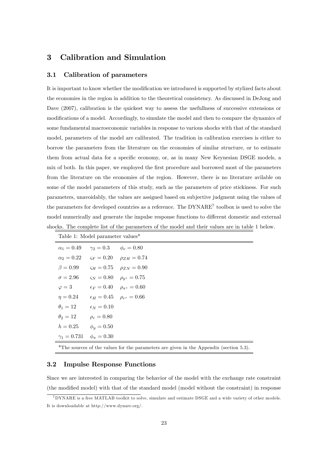## 3 Calibration and Simulation

#### 3.1 Calibration of parameters

It is important to know whether the modification we introduced is supported by stylized facts about the economies in the region in addition to the theoretical consistency. As discussed in DeJong and Dave  $(2007)$ , calibration is the quickest way to assess the usefullness of successive extensions or modifications of a model. Accordingly, to simulate the model and then to compare the dynamics of some fundamental macroeconomic variables in response to various shocks with that of the standard model, parameters of the model are calibrated. The tradition in calibration exercises is either to borrow the parameters from the literature on the economies of similar structure, or to estimate them from actual data for a specific economy, or, as in many New Keynesian DSGE models, a mix of both. In this paper, we employed the first procedure and borrowed most of the parameters from the literature on the economies of the region. However, there is no literature avilable on some of the model parameters of this study, such as the parameters of price stickiness. For such parameters, unavoidably, the values are assigned based on subjective judgment using the values of the parameters for developed countries as a reference. The DYNARE<sup>7</sup> toolbox is used to solve the model numerically and generate the impulse response functions to different domestic and external shocks. The complete list of the parameters of the model and their values are in table 1 below.

| Table 1: Model parameter values <sup>*</sup>                                                       |                                         |                                                           |
|----------------------------------------------------------------------------------------------------|-----------------------------------------|-----------------------------------------------------------|
| $\alpha_1 = 0.49$                                                                                  | $\gamma_2 = 0.3$ $\phi_e = 0.80$        |                                                           |
|                                                                                                    |                                         | $\alpha_2 = 0.22$ $\varsigma_F = 0.20$ $\rho_{ZH} = 0.74$ |
| $\beta = 0.99$                                                                                     |                                         | $\varsigma_H = 0.75$ $\rho_{ZN} = 0.90$                   |
| $\sigma = 2.96$                                                                                    |                                         | $\varsigma_N = 0.80$ $\rho_{u^*} = 0.75$                  |
| $\varphi = 3$                                                                                      |                                         | $\epsilon_F = 0.40$ $\rho_{\pi^*} = 0.60$                 |
| $\eta = 0.24$                                                                                      | $\epsilon_H = 0.45$ $\rho_{r^*} = 0.66$ |                                                           |
| $\theta_1 = 12$ $\epsilon_N = 0.10$                                                                |                                         |                                                           |
| $\theta_2=12$                                                                                      | $\rho_r = 0.80$                         |                                                           |
| $h = 0.25$ $\phi_y = 0.50$                                                                         |                                         |                                                           |
| $\gamma_1 = 0.731 \quad \phi_\pi = 0.30$                                                           |                                         |                                                           |
| <sup>*</sup> The sources of the values for the parameters are given in the Appendix (section 5.3). |                                         |                                                           |

#### 3.2 Impulse Response Functions

Since we are interested in comparing the behavior of the model with the exchange rate constraint (the modified model) with that of the standard model (model without the constraint) in response

<sup>7</sup>DYNARE is a free MATLAB toolkit to solve, simulate and estimate DSGE and a wide variety of other models. It is downloadable at http://www.dynare.org/.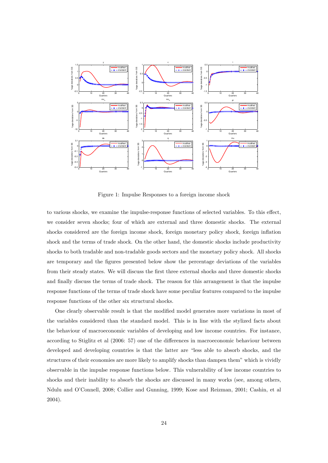

Figure 1: Impulse Responses to a foreign income shock

to various shocks, we examine the impulse-response functions of selected variables. To this effect, we consider seven shocks; four of which are external and three domestic shocks. The external shocks considered are the foreign income shock, foreign monetary policy shock, foreign inflation shock and the terms of trade shock. On the other hand, the domestic shocks include productivity shocks to both tradable and non-tradable goods sectors and the monetary policy shock. All shocks are temporary and the Ögures presented below show the percentage deviations of the variables from their steady states. We will discuss the first three external shocks and three domestic shocks and finally discuss the terms of trade shock. The reason for this arrangement is that the impulse response functions of the terms of trade shock have some peculiar features compared to the impulse response functions of the other six structural shocks.

One clearly observable result is that the modified model generates more variations in most of the variables considered than the standard model. This is in line with the stylized facts about the behaviour of macroeconomic variables of developing and low income countries. For instance, according to Stiglitz et al (2006: 57) one of the differences in macroeconomic behaviour between developed and developing countries is that the latter are "less able to absorb shocks, and the structures of their economies are more likely to amplify shocks than dampen them" which is vividly observable in the impulse response functions below. This vulnerability of low income countries to shocks and their inability to absorb the shocks are discussed in many works (see, among others, Ndulu and OíConnell, 2008; Collier and Gunning, 1999; Kose and Reizman, 2001; Cashin, et al 2004).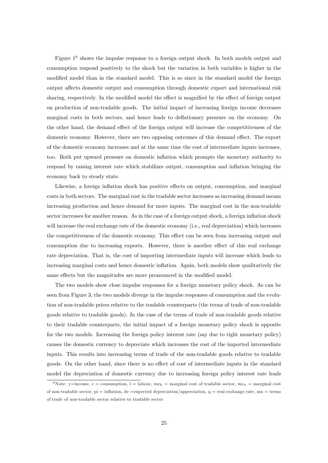Figure  $1<sup>8</sup>$  shows the impulse response to a foreign output shock. In both models output and consumption respond positively to the shock but the variation in both variables is higher in the modified model than in the standard model. This is so since in the standard model the foreign output affects domestic output and consumption through domestic export and international risk sharing, respectively. In the modified model the effect is magnified by the effect of foreign output on production of non-tradable goods. The initial impact of increasing foreign income decreases marginal costs in both sectors, and hence leads to deflationary pressure on the economy. On the other hand, the demand effect of the foreign output will increase the competitiveness of the domestic economy. However, there are two opposing outcomes of this demand effect. The export of the domestic economy increases and at the same time the cost of intermediate inputs increases, too. Both put upward pressure on domestic ináation which prompts the monetary authority to respond by raising interest rate which stabilizes output, consumption and inflation bringing the economy back to steady state.

Likewise, a foreign inflation shock has positive effects on output, consumption, and marginal costs in both sectors. The marginal cost in the tradable sector increases as increasing demand means increasing production and hence demand for more inputs. The marginal cost in the non-tradable sector increases for another reason. As in the case of a foreign output shock, a foreign inflation shock will increase the real exchange rate of the domestic economy (i.e., real depreciation) which increases the competitiveness of the domestic economy. This effect can be seen from increasing output and consumption due to increasing exports. However, there is another effect of this real exchange rate depreciation. That is, the cost of importing intermediate inputs will increase which leads to increasing marginal costs and hence domestic inflation. Again, both models show qualitatively the same effects but the magnitudes are more pronounced in the modified model.

The two models show close impulse responses for a foreign monetary policy shock. As can be seen from Figure 3, the two models diverge in the impulse responses of consumption and the evolution of non-tradable prices relative to the tradable counterparts (the terms of trade of non-tradable goods relative to tradable goods). In the case of the terms of trade of non-tradable goods relative to their tradable counterparts, the initial impact of a foreign monetary policy shock is opposite for the two models. Increasing the foreign policy interest rate (say due to tight monetary policy) causes the domestic currency to depreciate which increases the cost of the imported intermediate inputs. This results into increasing terms of trade of the non-tradable goods relative to tradable goods. On the other hand, since there is no effect of cost of intermediate inputs in the standard model the depreciation of domestic currency due to increasing foreign policy interest rate leads

<sup>&</sup>lt;sup>8</sup>Note: y=income, c = consumption, l = labour,  $mc_h$  = marginal cost of tradable sector,  $mc_n$  = marginal cost of non-tradable sector,  $pi = inflation$ , de =expected depreciation/appreciation, q = real exchange rate, mu = terms of trade of non-tradable sector relative to tradable sector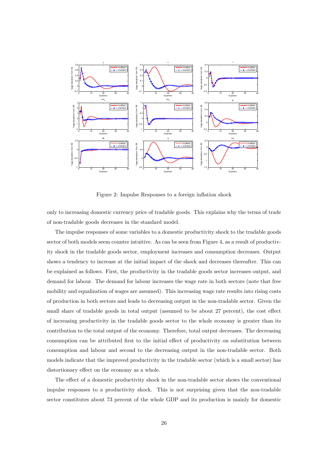

Figure 2: Impulse Responses to a foreign inflation shock

only to increasing domestic currency price of tradable goods. This explains why the terms of trade of non-tradable goods decreases in the standard model.

The impulse responses of some variables to a domestic productivity shock to the tradable goods sector of both models seem counter intuitive. As can be seen from Figure 4, as a result of productivity shock in the tradable goods sector, employment increases and consumption decreases. Output shows a tendency to increase at the initial impact of the shock and decreases thereafter. This can be explained as follows. First, the productivity in the tradable goods sector increases output, and demand for labour. The demand for labour increases the wage rate in both sectors (note that free mobility and equalization of wages are assumed). This increasing wage rate results into rising costs of production in both sectors and leads to decreasing output in the non-tradable sector. Given the small share of tradable goods in total output (assumed to be about 27 percent), the cost effect of increasing productivity in the tradable goods sector to the whole economy is greater than its contribution to the total output of the economy. Therefore, total output decreases. The decreasing consumption can be attributed first to the initial effect of productivity on substitution between consumption and labour and second to the decreasing output in the non-tradable sector. Both models indicate that the improved productivity in the tradable sector (which is a small sector) has distortionary effect on the economy as a whole.

The effect of a domestic productivity shock in the non-tradable sector shows the conventional impulse responses to a productivity shock. This is not surprising given that the non-tradable sector constitutes about 73 percent of the whole GDP and its production is mainly for domestic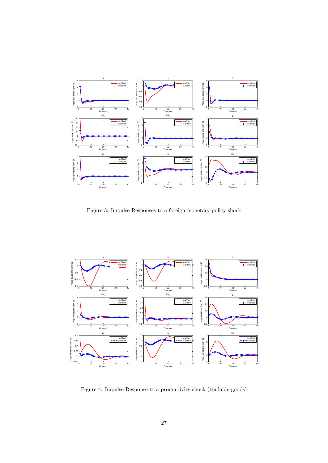

Figure 3: Impulse Responses to a foreign monetary policy shock



Figure 4: Impulse Response to a productivity shock (tradable goods)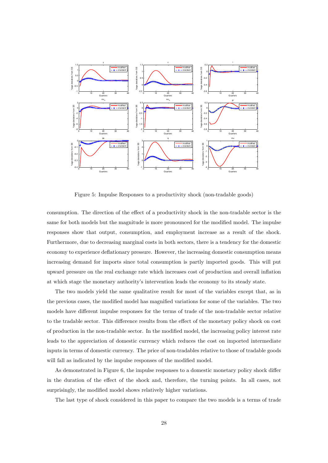

Figure 5: Impulse Responses to a productivity shock (non-tradable goods)

consumption. The direction of the effect of a productivity shock in the non-tradable sector is the same for both models but the magnitude is more pronounced for the modified model. The impulse responses show that output, consumption, and employment increase as a result of the shock. Furthermore, due to decreasing marginal costs in both sectors, there is a tendency for the domestic economy to experience deflationary pressure. However, the increasing domestic consumption means increasing demand for imports since total consumption is partly imported goods. This will put upward pressure on the real exchange rate which increases cost of production and overall ináation at which stage the monetary authorityís intervention leads the economy to its steady state.

The two models yield the same qualitative result for most of the variables except that, as in the previous cases, the modified model has magnified variations for some of the variables. The two models have different impulse responses for the terms of trade of the non-tradable sector relative to the tradable sector. This difference results from the effect of the monetary policy shock on cost of production in the non-tradable sector. In the modiÖed model, the increasing policy interest rate leads to the appreciation of domestic currency which reduces the cost on imported intermediate inputs in terms of domestic currency. The price of non-tradables relative to those of tradable goods will fall as indicated by the impulse responses of the modified model.

As demonstrated in Figure 6, the impulse responses to a domestic monetary policy shock differ in the duration of the effect of the shock and, therefore, the turning points. In all cases, not surprisingly, the modified model shows relatively higher variations.

The last type of shock considered in this paper to compare the two models is a terms of trade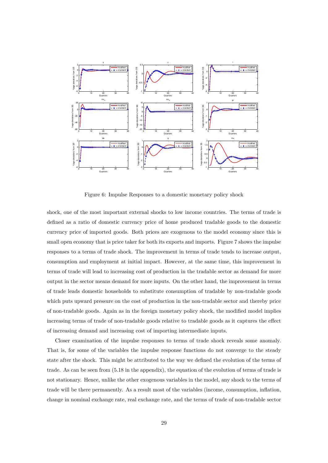

Figure 6: Impulse Responses to a domestic monetary policy shock

shock, one of the most important external shocks to low income countries. The terms of trade is defined as a ratio of domestic currency price of home produced tradable goods to the domestic currency price of imported goods. Both prices are exogenous to the model economy since this is small open economy that is price taker for both its exports and imports. Figure 7 shows the impulse responses to a terms of trade shock. The improvement in terms of trade tends to increase output, consumption and employment at initial impact. However, at the same time, this improvement in terms of trade will lead to increasing cost of production in the tradable sector as demand for more output in the sector means demand for more inputs. On the other hand, the improvement in terms of trade leads domestic households to substitute consumption of tradable by non-tradable goods which puts upward pressure on the cost of production in the non-tradable sector and thereby price of non-tradable goods. Again as in the foreign monetary policy shock, the modified model implies increasing terms of trade of non-tradable goods relative to tradable goods as it captures the effect of increasing demand and increasing cost of importing intermediate inputs.

Closer examination of the impulse responses to terms of trade shock reveals some anomaly. That is, for some of the variables the impulse response functions do not converge to the steady state after the shock. This might be attributed to the way we defined the evolution of the terms of trade. As can be seen from (5.18 in the appendix), the equation of the evolution of terms of trade is not stationary. Hence, unlike the other exogenous variables in the model, any shock to the terms of trade will be there permanently. As a result most of the variables (income, consumption, ináation, change in nominal exchange rate, real exchange rate, and the terms of trade of non-tradable sector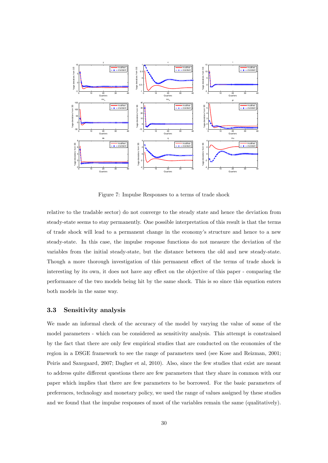

Figure 7: Impulse Responses to a terms of trade shock

relative to the tradable sector) do not converge to the steady state and hence the deviation from steady-state seems to stay permanently. One possible interpretation of this result is that the terms of trade shock will lead to a permanent change in the economyís structure and hence to a new steady-state. In this case, the impulse response functions do not measure the deviation of the variables from the initial steady-state, but the distance between the old and new steady-state. Though a more thorough investigation of this permanent effect of the terms of trade shock is interesting by its own, it does not have any effect on the objective of this paper - comparing the performance of the two models being hit by the same shock. This is so since this equation enters both models in the same way.

#### 3.3 Sensitivity analysis

We made an informal check of the accuracy of the model by varying the value of some of the model parameters - which can be considered as sensitivity analysis. This attempt is constrained by the fact that there are only few empirical studies that are conducted on the economies of the region in a DSGE framework to see the range of parameters used (see Kose and Reizman, 2001; Peiris and Saxegaard, 2007; Dagher et al, 2010). Also, since the few studies that exist are meant to address quite different questions there are few parameters that they share in common with our paper which implies that there are few parameters to be borrowed. For the basic parameters of preferences, technology and monetary policy, we used the range of values assigned by these studies and we found that the impulse responses of most of the variables remain the same (qualitatively).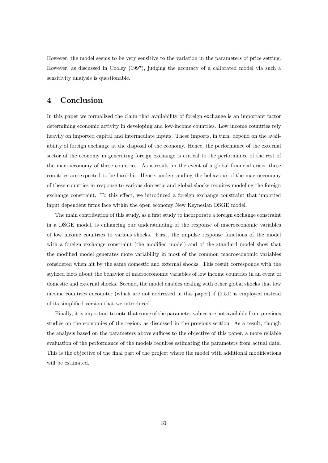However, the model seems to be very sensitive to the variation in the parameters of price setting. However, as discussed in Cooley (1997), judging the accuracy of a calibrated model via such a sensitivity analysis is questionable.

## 4 Conclusion

In this paper we formalized the claim that availability of foreign exchange is an important factor determining economic activity in developing and low-income countries. Low income countries rely heavily on imported capital and intermediate inputs. These imports, in turn, depend on the availability of foreign exchange at the disposal of the economy. Hence, the performance of the external sector of the economy in generating foreign exchange is critical to the performance of the rest of the macroeconomy of these countries. As a result, in the event of a global financial crisis, these countries are expected to be hard-hit. Hence, understanding the behaviour of the macroeconomy of these countries in response to various domestic and global shocks requires modeling the foreign exchange constraint. To this effect, we introduced a foreign exchange constraint that imported input dependent firms face within the open economy New Keynesian DSGE model.

The main contribution of this study, as a first study to incorporate a foreign exchange constraint in a DSGE model, is enhancing our understanding of the response of macroeconomic variables of low income countries to various shocks. First, the impulse response functions of the model with a foreign exchange constraint (the modified model) and of the standard model show that the modified model generates more variability in most of the common macroeconomic variables considered when hit by the same domestic and external shocks. This result corresponds with the stylized facts about the behavior of macroeconomic variables of low income countries in an event of domestic and external shocks. Second, the model enables dealing with other global shocks that low income countries encounter (which are not addressed in this paper) if (2.51) is employed instead of its simplified version that we introduced.

Finally, it is important to note that some of the parameter values are not available from previous studies on the economies of the region, as discussed in the previous section. As a result, though the analysis based on the parameters above suffices to the objective of this paper, a more reliable evaluation of the performance of the models requires estimating the parameters from actual data. This is the objective of the final part of the project where the model with additional modifications will be estimated.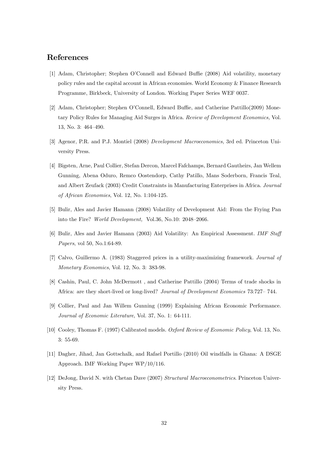## References

- [1] Adam, Christopher; Stephen O'Connell and Edward Buffie (2008) Aid volatility, monetary policy rules and the capital account in African economies. World Economy & Finance Research Programme, Birkbeck, University of London. Working Paper Series WEF 0037.
- [2] Adam, Christopher; Stephen O'Connell, Edward Buffie, and Catherine Pattillo(2009) Monetary Policy Rules for Managing Aid Surges in Africa. Review of Development Economics, Vol. 13, No. 3: 464-490.
- [3] Agenor, P.R. and P.J. Montiel (2008) Development Macroeconomics, 3rd ed. Princeton University Press.
- [4] Bigsten, Arne, Paul Collier, Stefan Dercon, Marcel Fafchamps, Bernard Gautheirs, Jan Wellem Gunning, Abena Oduro, Remco Oostendorp, Cathy Patillo, Mans Soderborn, Francis Teal, and Albert Zeufack (2003) Credit Constraints in Manufacturing Enterprises in Africa. Journal of African Economies, Vol. 12, No. 1:104-125.
- [5] Bulir, Ales and Javier Hamann (2008) Volatility of Development Aid: From the Frying Pan into the Fire? World Development, Vol.36, No.10:  $2048-2066$ .
- [6] Bulir, Ales and Javier Hamann (2003) Aid Volatility: An Empirical Assessment. IMF Staff Papers, vol 50, No.1:64-89.
- [7] Calvo, Guillermo A. (1983) Staggered prices in a utility-maximizing framework. Journal of Monetary Economics, Vol. 12, No. 3: 383-98.
- [8] Cashin, Paul, C. John McDermott , and Catherine Pattillo (2004) Terms of trade shocks in Africa: are they short-lived or long-lived? Journal of Development Economics 73:727-744.
- [9] Collier, Paul and Jan Willem Gunning (1999) Explaining African Economic Performance. Journal of Economic Literature, Vol. 37, No. 1: 64-111.
- [10] Cooley, Thomas F. (1997) Calibrated models. Oxford Review of Economic Policy, Vol. 13, No. 3: 55-69.
- [11] Dagher, Jihad, Jan Gottschalk, and Rafael Portillo (2010) Oil windfalls in Ghana: A DSGE Approach. IMF Working Paper WP/10/116.
- [12] DeJong, David N. with Chetan Dave (2007) Structural Macroeconometrics. Princeton University Press.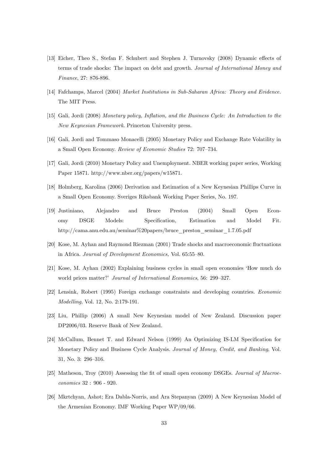- [13] Eicher, Theo S., Stefan F. Schubert and Stephen J. Turnovsky (2008) Dynamic effects of terms of trade shocks: The impact on debt and growth. Journal of International Money and Finance, 27: 876-896.
- [14] Fafchamps, Marcel (2004) Market Institutions in Sub-Saharan Africa: Theory and Evidence. The MIT Press.
- [15] Gali, Jordi (2008) Monetary policy, Inflation, and the Business Cycle: An Introduction to the New Keynesian Framework. Princeton University press.
- [16] Gali, Jordi and Tommaso Monacelli (2005) Monetary Policy and Exchange Rate Volatility in a Small Open Economy. Review of Economic Studies 72: 707-734.
- [17] Gali, Jordi (2010) Monetary Policy and Unemployment. NBER working paper series, Working Paper 15871. http://www.nber.org/papers/w15871.
- [18] Holmberg, Karolina (2006) Derivation and Estimation of a New Keynesian Phillips Curve in a Small Open Economy. Sveriges Riksbank Working Paper Series, No. 197.
- [19] Justiniano, Alejandro and Bruce Preston (2004) Small Open Economy DSGE Models: SpeciÖcation, Estimation and Model Fit. http://cama.anu.edu.au/seminar%20papers/bruce\_preston\_seminar\_1.7.05.pdf
- [20] Kose, M. Ayhan and Raymond Riezman (2001) Trade shocks and macroeconomic fluctuations in Africa. Journal of Development Economics, Vol. 65:55-80.
- [21] Kose, M. Ayhan (2002) Explaining business cycles in small open economies ëHow much do world prices matter?' Journal of International Economics, 56: 299–327.
- [22] Lensink, Robert (1995) Foreign exchange constraints and developing countries. Economic Modelling, Vol. 12, No. 2:179-191.
- [23] Liu, Phillip (2006) A small New Keynesian model of New Zealand. Discussion paper DP2006/03. Reserve Bank of New Zealand.
- [24] McCallum, Bennet T. and Edward Nelson (1999) An Optimizing IS-LM Specification for Monetary Policy and Business Cycle Analysis. Journal of Money, Credit, and Banking, Vol. 31, No. 3: 296-316.
- [25] Matheson, Troy (2010) Assessing the fit of small open economy DSGEs. Journal of Macroeconomics 32 : 906 - 920.
- [26] Mkrtchyan, Ashot; Era Dabla-Norris, and Ara Stepanyan (2009) A New Keynesian Model of the Armenian Economy. IMF Working Paper WP/09/66.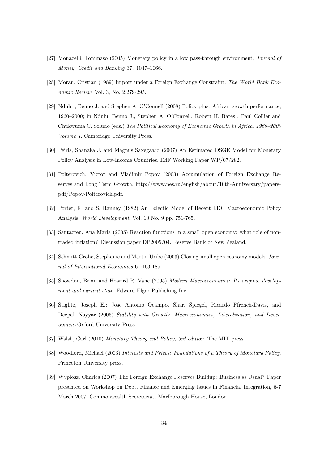- [27] Monacelli, Tommaso (2005) Monetary policy in a low pass-through environment, Journal of Money, Credit and Banking 37: 1047-1066.
- [28] Moran, Cristian (1989) Import under a Foreign Exchange Constraint. The World Bank Economic Review, Vol. 3, No. 2:279-295.
- [29] Ndulu, Benno J. and Stephen A. O'Connell (2008) Policy plus: African growth performance, 1960–2000; in Ndulu, Benno J., Stephen A. O'Connell, Robert H. Bates , Paul Collier and Chukwuma C. Soludo (eds.) The Political Economy of Economic Growth in Africa, 1960–2000 Volume 1. Cambridge University Press.
- [30] Peiris, Shanaka J. and Magnus Saxegaard (2007) An Estimated DSGE Model for Monetary Policy Analysis in Low-Income Countries. IMF Working Paper WP/07/282.
- [31] Polterovich, Victor and Vladimir Popov (2003) Accumulation of Foreign Exchange Reserves and Long Term Growth. http://www.nes.ru/english/about/10th-Anniversary/paperspdf/Popov-Polterovich.pdf.
- [32] Porter, R. and S. Ranney (1982) An Eclectic Model of Recent LDC Macroeconomic Policy Analysis. World Development, Vol. 10 No. 9 pp. 751-765.
- [33] Santacreu, Ana Maria (2005) Reaction functions in a small open economy: what role of nontraded inflation? Discussion paper DP2005/04. Reserve Bank of New Zealand.
- [34] Schmitt-Grohe, Stephanie and Martin Uribe (2003) Closing small open economy models. Journal of International Economics 61:163-185.
- [35] Snowdon, Brian and Howard R. Vane (2005) Modern Macroeconomics: Its origins, development and current state. Edward Elgar Publishing Inc.
- [36] Stiglitz, Joseph E.; Jose Antonio Ocampo, Shari Spiegel, Ricardo Ffrench-Davis, and Deepak Nayyar (2006) Stability with Growth: Macroeconomics, Liberalization, and Development.Oxford University Press.
- [37] Walsh, Carl (2010) Monetary Theory and Policy, 3rd edition. The MIT press.
- [38] Woodford, Michael (2003) Interests and Prices: Foundations of a Theory of Monetary Policy. Princeton University press.
- [39] Wyplosz, Charles (2007) The Foreign Exchange Reserves Buildup: Business as Usual? Paper presented on Workshop on Debt, Finance and Emerging Issues in Financial Integration, 6-7 March 2007, Commonwealth Secretariat, Marlborough House, London.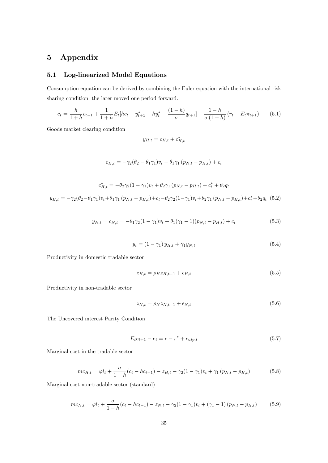## 5 Appendix

## 5.1 Log-linearized Model Equations

Consumption equation can be derived by combining the Euler equation with the international risk sharing condition, the later moved one period forward.

$$
c_t = \frac{h}{1+h}c_{t-1} + \frac{1}{1+h}E_t[hc_t + y_{t+1}^* - hy_t^* + \frac{(1-h)}{\sigma}q_{t+1}] - \frac{1-h}{\sigma(1+h)}(r_t - E_t\pi_{t+1})
$$
(5.1)

Goods market clearing condition

$$
y_{H,t} = c_{H,t} + c_{H,t}^*
$$

$$
c_{H,t} = -\gamma_2 (\theta_2 - \theta_1 \gamma_1) v_t + \theta_1 \gamma_1 (p_{N,t} - p_{H,t}) + c_t
$$

$$
c_{H,t}^{*} = -\theta_{2}\gamma_{2}(1-\gamma_{1})v_{t} + \theta_{2}\gamma_{1}(p_{N,t} - p_{H,t}) + c_{t}^{*} + \theta_{2}q_{t}
$$

$$
y_{H,t} = -\gamma_{2}(\theta_{2} - \theta_{1}\gamma_{1})v_{t} + \theta_{1}\gamma_{1}(p_{N,t} - p_{H,t}) + c_{t} - \theta_{2}\gamma_{2}(1-\gamma_{1})v_{t} + \theta_{2}\gamma_{1}(p_{N,t} - p_{H,t}) + c_{t}^{*} + \theta_{2}q_{t}
$$
(5.2)

$$
y_{N,t} = c_{N,t} = -\theta_1 \gamma_2 (1 - \gamma_1) v_t + \theta_1 (\gamma_1 - 1) (p_{N,t} - p_{H,t}) + c_t
$$
\n(5.3)

$$
y_t = (1 - \gamma_1) y_{H,t} + \gamma_1 y_{N,t} \tag{5.4}
$$

Productivity in domestic tradable sector

$$
z_{H,t} = \rho_H z_{H,t-1} + \epsilon_{H,t} \tag{5.5}
$$

Productivity in non-tradable sector

$$
z_{N,t} = \rho_N z_{N,t-1} + \epsilon_{N,t} \tag{5.6}
$$

The Uncovered interest Parity Condition

$$
E_t e_{t+1} - e_t = r - r^* + \epsilon_{\text{uip},t} \tag{5.7}
$$

Marginal cost in the tradable sector

$$
mc_{H,t} = \varphi l_t + \frac{\sigma}{1-h}(c_t - hc_{t-1}) - z_{H,t} - \gamma_2(1-\gamma_1)v_t + \gamma_1(p_{N,t} - p_{H,t})
$$
(5.8)

Marginal cost non-tradable sector (standard)

$$
mc_{N,t} = \varphi l_t + \frac{\sigma}{1-h}(c_t - hc_{t-1}) - z_{N,t} - \gamma_2(1-\gamma_1)v_t + (\gamma_1 - 1)(p_{N,t} - p_{H,t})
$$
(5.9)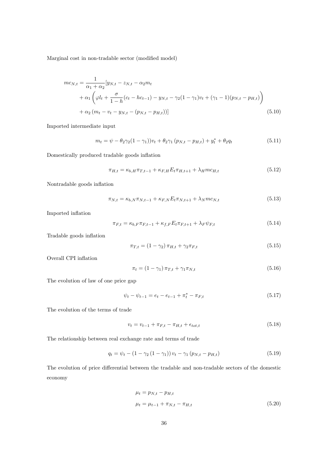Marginal cost in non-tradable sector (modified model)

$$
mc_{N,t} = \frac{1}{\alpha_1 + \alpha_2} [y_{N,t} - z_{N,t} - \alpha_2 m_t + \alpha_1 \left( \varphi l_t + \frac{\sigma}{1 - h} (c_t - h c_{t-1}) - y_{N,t} - \gamma_2 (1 - \gamma_1) v_t + (\gamma_1 - 1) (p_{N,t} - p_{H,t}) \right) + \alpha_2 (m_t - v_t - y_{N,t} - (p_{N,t} - p_{H,t}))]
$$
(5.10)

Imported intermediate input

$$
m_t = \psi - \theta_2 \gamma_2 (1 - \gamma_1) v_t + \theta_2 \gamma_1 (p_{N,t} - p_{H,t}) + y_t^* + \theta_2 q_t \tag{5.11}
$$

Domestically produced tradable goods inflation

$$
\pi_{H,t} = \kappa_{b,H} \pi_{T,t-1} + \kappa_{F,H} E_t \pi_{H,t+1} + \lambda_H m c_{H,t}
$$
\n(5.12)

Nontradable goods inflation

$$
\pi_{N,t} = \kappa_{b,N} \pi_{N,t-1} + \kappa_{F,N} E_t \pi_{N,t+1} + \lambda_N m c_{N,t}
$$
\n(5.13)

Imported inflation

$$
\pi_{F,t} = \kappa_{b,F} \pi_{F,t-1} + \kappa_{f,F} E_t \pi_{F,t+1} + \lambda_F \psi_{F,t}
$$
\n(5.14)

Tradable goods inflation

$$
\pi_{T,t} = (1 - \gamma_2) \pi_{H,t} + \gamma_2 \pi_{F,t} \tag{5.15}
$$

Overall CPI inflation

$$
\pi_t = (1 - \gamma_1) \pi_{T,t} + \gamma_1 \pi_{N,t} \tag{5.16}
$$

The evolution of law of one price gap

$$
\psi_t - \psi_{t-1} = e_t - e_{t-1} + \pi_t^* - \pi_{F,t}
$$
\n(5.17)

The evolution of the terms of trade

$$
v_t = v_{t-1} + \pi_{F,t} - \pi_{H,t} + \epsilon_{tot,t}
$$
\n(5.18)

The relationship between real exchange rate and terms of trade

$$
q_t = \psi_t - (1 - \gamma_2 (1 - \gamma_1)) v_t - \gamma_1 (p_{N,t} - p_{H,t})
$$
\n(5.19)

The evolution of price differential between the tradable and non-tradable sectors of the domestic economy

$$
\mu_t = p_{N,t} - p_{H,t}
$$
  

$$
\mu_t = \mu_{t-1} + \pi_{N,t} - \pi_{H,t}
$$
 (5.20)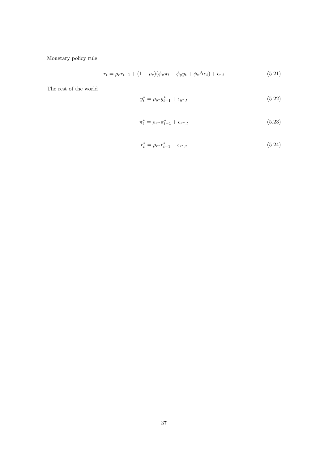Monetary policy rule

$$
r_t = \rho_r r_{t-1} + (1 - \rho_r)(\phi_\pi \pi_t + \phi_y y_t + \phi_e \Delta e_t) + \epsilon_{r,t} \tag{5.21}
$$

The rest of the world

$$
y_t^* = \rho_{y^*} y_{t-1}^* + \epsilon_{y^*,t} \tag{5.22}
$$

$$
\pi_t^* = \rho_{\pi^*} \pi_{t-1}^* + \epsilon_{\pi^*,t} \tag{5.23}
$$

$$
r_t^* = \rho_{r^*} r_{t-1}^* + \epsilon_{r^*,t} \tag{5.24}
$$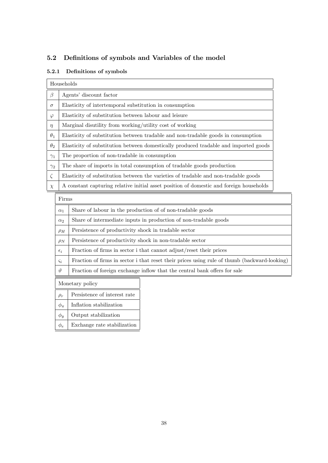## 5.2 Definitions of symbols and Variables of the model

#### 5.2.1 Definitions of symbols

|            | Households                                                                              |  |  |
|------------|-----------------------------------------------------------------------------------------|--|--|
| $\beta$    | Agents' discount factor                                                                 |  |  |
| $\sigma$   | Elasticity of intertemporal substitution in consumption                                 |  |  |
| $\varphi$  | Elasticity of substitution between labour and leisure                                   |  |  |
| $\eta$     | Marginal disutility from working/utility cost of working                                |  |  |
| $\theta_1$ | Elasticity of substitution between tradable and non-tradable goods in consumption       |  |  |
| $\theta_2$ | Elasticity of substitution between domestically produced tradable and imported goods    |  |  |
| $\gamma_1$ | The proportion of non-tradable in consumption                                           |  |  |
| $\gamma_2$ | The share of imports in total consumption of tradable goods production                  |  |  |
| $\zeta$    | Elasticity of substitution between the varieties of tradable and non-tradable goods     |  |  |
| $\chi$     | A constant capturing relative initial asset position of domestic and foreign households |  |  |
|            | $\Gamma$ in $\sim$                                                                      |  |  |

| $\alpha_1$    | Share of labour in the production of of non-tradable goods                                   |
|---------------|----------------------------------------------------------------------------------------------|
| $\alpha_2$    | Share of intermediate inputs in production of non-tradable goods                             |
| $\rho_H$      | Persistence of productivity shock in tradable sector                                         |
| $\rho_N$      | Persistence of productivity shock in non-tradable sector                                     |
| $\epsilon_i$  | Fraction of firms in sector i that cannot adjust/reset their prices                          |
| $\varsigma_i$ | Fraction of firms in sector i that reset their prices using rule of thumb (backward-looking) |
| $\vartheta$   | Fraction of foreign exchange inflow that the central bank offers for sale                    |
|               |                                                                                              |

Monetary policy

- $\rho_r$  Persistence of interest rate  $\phi_{\pi}$  | Inflation stabilization
- $\phi_y$  Output stabilization
- $\phi_e$  Exchange rate stabilization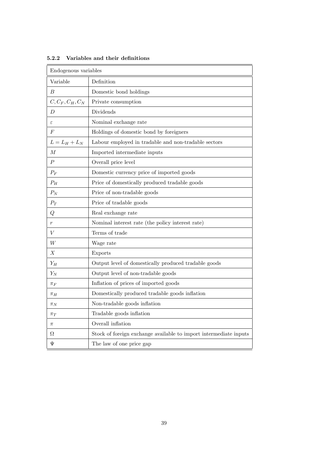| Endogenous variables |                                                                   |  |
|----------------------|-------------------------------------------------------------------|--|
| Variable             | Definition                                                        |  |
| B                    | Domestic bond holdings                                            |  |
| $C, C_F, C_H, C_N$   | Private consumption                                               |  |
| D                    | Dividends                                                         |  |
| $\varepsilon$        | Nominal exchange rate                                             |  |
| $\,F$                | Holdings of domestic bond by foreigners                           |  |
| $L = L_H + L_N$      | Labour employed in tradable and non-tradable sectors              |  |
| М                    | Imported intermediate inputs                                      |  |
| $\boldsymbol{P}$     | Overall price level                                               |  |
| $P_F$                | Domestic currency price of imported goods                         |  |
| $P_H$                | Price of domestically produced tradable goods                     |  |
| $P_N$                | Price of non-tradable goods                                       |  |
| ${\cal P}_T$         | Price of tradable goods                                           |  |
| Q                    | Real exchange rate                                                |  |
| $\boldsymbol{r}$     | Nominal interest rate (the policy interest rate)                  |  |
| V                    | Terms of trade                                                    |  |
| W                    | Wage rate                                                         |  |
| Χ                    | Exports                                                           |  |
| $Y_H$                | Output level of domestically produced tradable goods              |  |
| $Y_N$                | Output level of non-tradable goods                                |  |
| $\pi_F$              | Inflation of prices of imported goods                             |  |
| $\pi_H$              | Domestically produced tradable goods inflation                    |  |
| $\pi_N$              | Non-tradable goods inflation                                      |  |
| $\pi_T$              | Tradable goods inflation                                          |  |
| $\pi$                | Overall inflation                                                 |  |
| Ω                    | Stock of foreign exchange available to import intermediate inputs |  |
| Ψ                    | The law of one price gap                                          |  |

5.2.2 Variables and their definitions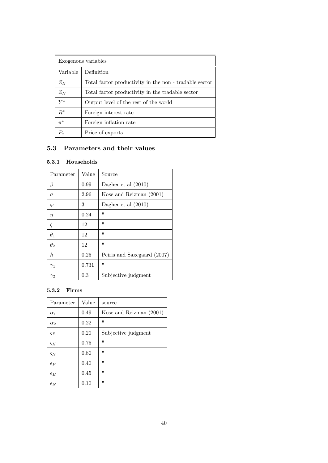| Exogenous variables |                                                        |  |
|---------------------|--------------------------------------------------------|--|
| Variable            | Definition                                             |  |
| $Z_H$               | Total factor productivity in the non - tradable sector |  |
| $Z_N$               | Total factor productivity in the tradable sector       |  |
| $V^*$               | Output level of the rest of the world                  |  |
| $R^*$               | Foreign interest rate                                  |  |
| $\pi^*$             | Foreign inflation rate                                 |  |
|                     | Price of exports                                       |  |

## 5.3 Parameters and their values

### 5.3.1 Households

| Parameter  | Value | Source                      |
|------------|-------|-----------------------------|
| β          | 0.99  | Dagher et al $(2010)$       |
| $\sigma$   | 2.96  | Kose and Reizman (2001)     |
| φ          | 3     | Dagher et al $(2010)$       |
| $\eta$     | 0.24  | $^{\prime\prime}$           |
| $\zeta$    | 12    | $^{\prime}$                 |
| $\theta_1$ | 12    | $^{\prime\prime}$           |
| $\theta_2$ | 12    | $^{\prime\prime}$           |
| h.         | 0.25  | Peiris and Saxegaard (2007) |
| $\gamma_1$ | 0.731 | 11                          |
| $\gamma_2$ | 0.3   | Subjective judgment         |

### 5.3.2 Firms

| Parameter     | Value | source                    |
|---------------|-------|---------------------------|
| $\alpha_1$    | 0.49  | Kose and Reizman $(2001)$ |
| $\alpha_2$    | 0.22  | $^{\prime\prime}$         |
| $\varsigma_F$ | 0.20  | Subjective judgment       |
| $\varsigma_H$ | 0.75  | $^{\prime\prime}$         |
| $\varsigma_N$ | 0.80  | $^{\prime}$               |
| $\epsilon_F$  | 0.40  | $^{\prime\prime}$         |
| $\epsilon_H$  | 0.45  | $^{\prime}$               |
| $\epsilon_N$  | 0.10  | $^{\prime\prime}$         |